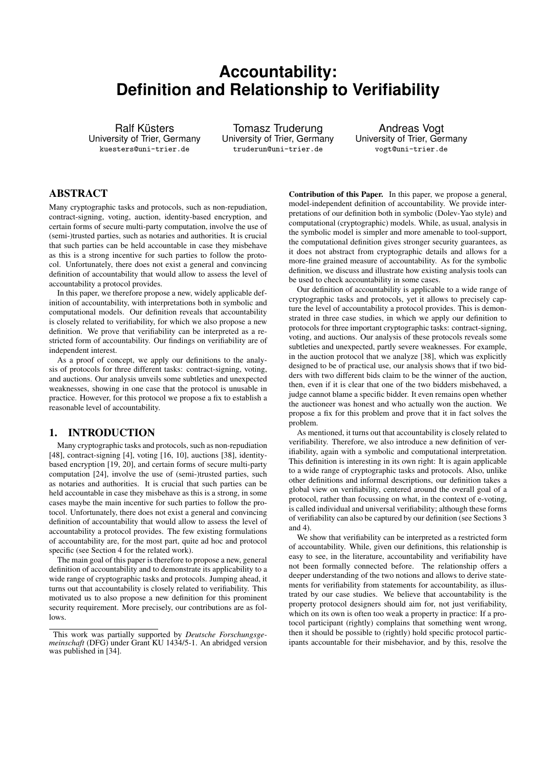# **Accountability: Definition and Relationship to Verifiability**

Ralf Küsters University of Trier, Germany kuesters@uni-trier.de

Tomasz Truderung University of Trier, Germany truderun@uni-trier.de

Andreas Vogt University of Trier, Germany vogt@uni-trier.de

# ABSTRACT

Many cryptographic tasks and protocols, such as non-repudiation, contract-signing, voting, auction, identity-based encryption, and certain forms of secure multi-party computation, involve the use of (semi-)trusted parties, such as notaries and authorities. It is crucial that such parties can be held accountable in case they misbehave as this is a strong incentive for such parties to follow the protocol. Unfortunately, there does not exist a general and convincing definition of accountability that would allow to assess the level of accountability a protocol provides.

In this paper, we therefore propose a new, widely applicable definition of accountability, with interpretations both in symbolic and computational models. Our definition reveals that accountability is closely related to verifiability, for which we also propose a new definition. We prove that verifiability can be interpreted as a restricted form of accountability. Our findings on verifiability are of independent interest.

As a proof of concept, we apply our definitions to the analysis of protocols for three different tasks: contract-signing, voting, and auctions. Our analysis unveils some subtleties and unexpected weaknesses, showing in one case that the protocol is unusable in practice. However, for this protocol we propose a fix to establish a reasonable level of accountability.

# 1. INTRODUCTION

Many cryptographic tasks and protocols, such as non-repudiation [48], contract-signing [4], voting [16, 10], auctions [38], identitybased encryption [19, 20], and certain forms of secure multi-party computation [24], involve the use of (semi-)trusted parties, such as notaries and authorities. It is crucial that such parties can be held accountable in case they misbehave as this is a strong, in some cases maybe the main incentive for such parties to follow the protocol. Unfortunately, there does not exist a general and convincing definition of accountability that would allow to assess the level of accountability a protocol provides. The few existing formulations of accountability are, for the most part, quite ad hoc and protocol specific (see Section 4 for the related work).

The main goal of this paper is therefore to propose a new, general definition of accountability and to demonstrate its applicability to a wide range of cryptographic tasks and protocols. Jumping ahead, it turns out that accountability is closely related to verifiability. This motivated us to also propose a new definition for this prominent security requirement. More precisely, our contributions are as follows.

Contribution of this Paper. In this paper, we propose a general, model-independent definition of accountability. We provide interpretations of our definition both in symbolic (Dolev-Yao style) and computational (cryptographic) models. While, as usual, analysis in the symbolic model is simpler and more amenable to tool-support, the computational definition gives stronger security guarantees, as it does not abstract from cryptographic details and allows for a more-fine grained measure of accountability. As for the symbolic definition, we discuss and illustrate how existing analysis tools can be used to check accountability in some cases.

Our definition of accountability is applicable to a wide range of cryptographic tasks and protocols, yet it allows to precisely capture the level of accountability a protocol provides. This is demonstrated in three case studies, in which we apply our definition to protocols for three important cryptographic tasks: contract-signing, voting, and auctions. Our analysis of these protocols reveals some subtleties and unexpected, partly severe weaknesses. For example, in the auction protocol that we analyze [38], which was explicitly designed to be of practical use, our analysis shows that if two bidders with two different bids claim to be the winner of the auction, then, even if it is clear that one of the two bidders misbehaved, a judge cannot blame a specific bidder. It even remains open whether the auctioneer was honest and who actually won the auction. We propose a fix for this problem and prove that it in fact solves the problem.

As mentioned, it turns out that accountability is closely related to verifiability. Therefore, we also introduce a new definition of verifiability, again with a symbolic and computational interpretation. This definition is interesting in its own right: It is again applicable to a wide range of cryptographic tasks and protocols. Also, unlike other definitions and informal descriptions, our definition takes a global view on verifiability, centered around the overall goal of a protocol, rather than focussing on what, in the context of e-voting, is called individual and universal verifiability; although these forms of verifiability can also be captured by our definition (see Sections 3 and 4).

We show that verifiability can be interpreted as a restricted form of accountability. While, given our definitions, this relationship is easy to see, in the literature, accountability and verifiability have not been formally connected before. The relationship offers a deeper understanding of the two notions and allows to derive statements for verifiability from statements for accountability, as illustrated by our case studies. We believe that accountability is the property protocol designers should aim for, not just verifiability, which on its own is often too weak a property in practice: If a protocol participant (rightly) complains that something went wrong, then it should be possible to (rightly) hold specific protocol participants accountable for their misbehavior, and by this, resolve the

This work was partially supported by *Deutsche Forschungsgemeinschaft* (DFG) under Grant KU 1434/5-1. An abridged version was published in [34].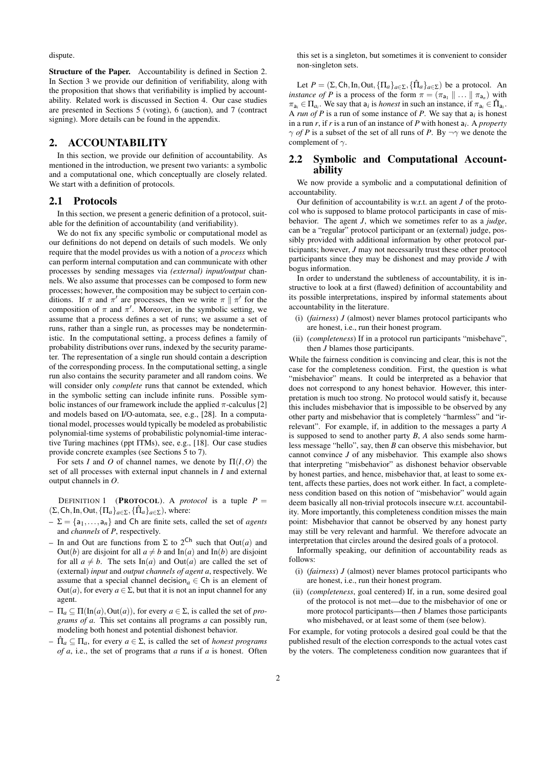dispute.

Structure of the Paper. Accountability is defined in Section 2. In Section 3 we provide our definition of verifiability, along with the proposition that shows that verifiability is implied by accountability. Related work is discussed in Section 4. Our case studies are presented in Sections 5 (voting), 6 (auction), and 7 (contract signing). More details can be found in the appendix.

# 2. ACCOUNTABILITY

In this section, we provide our definition of accountability. As mentioned in the introduction, we present two variants: a symbolic and a computational one, which conceptually are closely related. We start with a definition of protocols.

#### 2.1 Protocols

In this section, we present a generic definition of a protocol, suitable for the definition of accountability (and verifiability).

We do not fix any specific symbolic or computational model as our definitions do not depend on details of such models. We only require that the model provides us with a notion of a *process* which can perform internal computation and can communicate with other processes by sending messages via *(external) input/output* channels. We also assume that processes can be composed to form new processes; however, the composition may be subject to certain conditions. If  $\pi$  and  $\pi'$  are processes, then we write  $\pi \parallel \pi'$  for the composition of  $\pi$  and  $\pi'$ . Moreover, in the symbolic setting, we assume that a process defines a set of runs; we assume a set of runs, rather than a single run, as processes may be nondeterministic. In the computational setting, a process defines a family of probability distributions over runs, indexed by the security parameter. The representation of a single run should contain a description of the corresponding process. In the computational setting, a single run also contains the security parameter and all random coins. We will consider only *complete* runs that cannot be extended, which in the symbolic setting can include infinite runs. Possible symbolic instances of our framework include the applied  $\pi$ -calculus [2] and models based on I/O-automata, see, e.g., [28]. In a computational model, processes would typically be modeled as probabilistic polynomial-time systems of probabilistic polynomial-time interactive Turing machines (ppt ITMs), see, e.g., [18]. Our case studies provide concrete examples (see Sections 5 to 7).

For sets *I* and *O* of channel names, we denote by  $\Pi(I, O)$  the set of all processes with external input channels in *I* and external output channels in *O*.

DEFINITION 1 (**PROTOCOL**). A *protocol* is a tuple  $P =$  $(\Sigma, \text{Ch}, \text{In}, \text{Out}, {\{\Pi_a\}_{a \in \Sigma}, {\{\hat{\Pi}_a\}_{a \in \Sigma}}})$ , where:

- $-\Sigma = \{a_1, \ldots, a_n\}$  and Ch are finite sets, called the set of *agents* and *channels* of *P*, respectively.
- In and Out are functions from  $\Sigma$  to  $2^{Ch}$  such that Out(*a*) and Out(*b*) are disjoint for all  $a \neq b$  and In(*a*) and In(*b*) are disjoint for all  $a \neq b$ . The sets In(*a*) and Out(*a*) are called the set of (external) *input* and *output channels of agent a*, respectively. We assume that a special channel decision<sub>a</sub>  $\in$  Ch is an element of Out(*a*), for every  $a \in \Sigma$ , but that it is not an input channel for any agent.
- $-I_a \subset \Pi(\text{In}(a), \text{Out}(a))$ , for every  $a \in \Sigma$ , is called the set of *programs of a*. This set contains all programs *a* can possibly run, modeling both honest and potential dishonest behavior.
- $-\hat{\Pi}_a \subseteq \Pi_a$ , for every  $a \in \Sigma$ , is called the set of *honest programs of a*, i.e., the set of programs that *a* runs if *a* is honest. Often

this set is a singleton, but sometimes it is convenient to consider non-singleton sets.

Let  $P = (\Sigma, \text{Ch}, \text{In}, \text{Out}, {\{\Pi_a\}_{a \in \Sigma}, {\{\hat{\Pi}_a\}_{a \in \Sigma}}})$  be a protocol. An *instance of P* is a process of the form  $\pi = (\pi_{a_1} \parallel ... \parallel \pi_{a_n})$  with  $\pi_{a_i} \in \Pi_{a_i}$ . We say that  $a_i$  is *honest* in such an instance, if  $\pi_{a_i} \in \hat{\Pi}_{a_i}$ . A *run of P* is a run of some instance of *P*. We say that a*<sup>i</sup>* is honest in a run *r*, if *r* is a run of an instance of *P* with honest a*<sup>i</sup>* . A *property*  $\gamma$  *of P* is a subset of the set of all runs of *P*. By  $\neg \gamma$  we denote the complement of  $\gamma$ .

#### 2.2 Symbolic and Computational Accountability

We now provide a symbolic and a computational definition of accountability.

Our definition of accountability is w.r.t. an agent *J* of the protocol who is supposed to blame protocol participants in case of misbehavior. The agent *J*, which we sometimes refer to as a *judge*, can be a "regular" protocol participant or an (external) judge, possibly provided with additional information by other protocol participants; however, *J* may not necessarily trust these other protocol participants since they may be dishonest and may provide *J* with bogus information.

In order to understand the subtleness of accountability, it is instructive to look at a first (flawed) definition of accountability and its possible interpretations, inspired by informal statements about accountability in the literature.

- (i) (*fairness*) *J* (almost) never blames protocol participants who are honest, i.e., run their honest program.
- (ii) (*completeness*) If in a protocol run participants "misbehave", then *J* blames those participants.

While the fairness condition is convincing and clear, this is not the case for the completeness condition. First, the question is what "misbehavior" means. It could be interpreted as a behavior that does not correspond to any honest behavior. However, this interpretation is much too strong. No protocol would satisfy it, because this includes misbehavior that is impossible to be observed by any other party and misbehavior that is completely "harmless" and "irrelevant". For example, if, in addition to the messages a party *A* is supposed to send to another party *B*, *A* also sends some harmless message "hello", say, then *B* can observe this misbehavior, but cannot convince *J* of any misbehavior. This example also shows that interpreting "misbehavior" as dishonest behavior observable by honest parties, and hence, misbehavior that, at least to some extent, affects these parties, does not work either. In fact, a completeness condition based on this notion of "misbehavior" would again deem basically all non-trivial protocols insecure w.r.t. accountability. More importantly, this completeness condition misses the main point: Misbehavior that cannot be observed by any honest party may still be very relevant and harmful. We therefore advocate an interpretation that circles around the desired goals of a protocol.

Informally speaking, our definition of accountability reads as follows:

- (i) (*fairness*) *J* (almost) never blames protocol participants who are honest, i.e., run their honest program.
- (ii) (*completeness*, goal centered) If, in a run, some desired goal of the protocol is not met—due to the misbehavior of one or more protocol participants—then *J* blames those participants who misbehaved, or at least some of them (see below).

For example, for voting protocols a desired goal could be that the published result of the election corresponds to the actual votes cast by the voters. The completeness condition now guarantees that if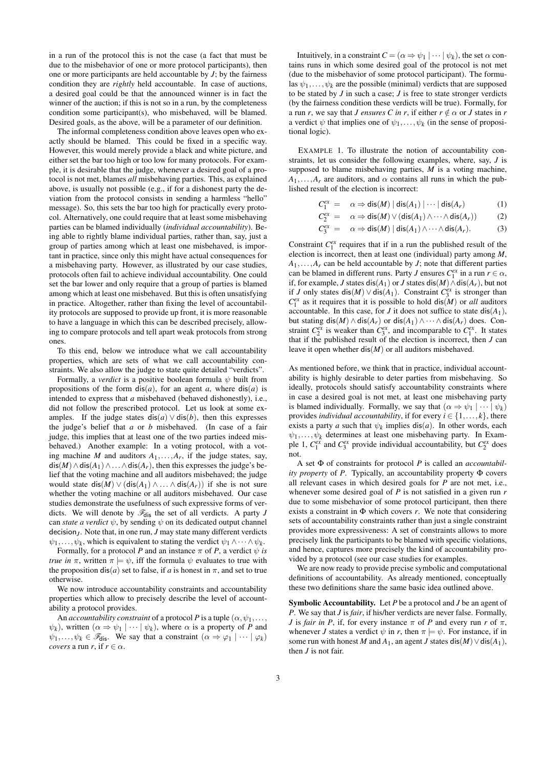in a run of the protocol this is not the case (a fact that must be due to the misbehavior of one or more protocol participants), then one or more participants are held accountable by *J*; by the fairness condition they are *rightly* held accountable. In case of auctions, a desired goal could be that the announced winner is in fact the winner of the auction; if this is not so in a run, by the completeness condition some participant(s), who misbehaved, will be blamed. Desired goals, as the above, will be a parameter of our definition.

The informal completeness condition above leaves open who exactly should be blamed. This could be fixed in a specific way. However, this would merely provide a black and white picture, and either set the bar too high or too low for many protocols. For example, it is desirable that the judge, whenever a desired goal of a protocol is not met, blames *all* misbehaving parties. This, as explained above, is usually not possible (e.g., if for a dishonest party the deviation from the protocol consists in sending a harmless "hello" message). So, this sets the bar too high for practically every protocol. Alternatively, one could require that at least some misbehaving parties can be blamed individually (*individual accountability*). Being able to rightly blame individual parties, rather than, say, just a group of parties among which at least one misbehaved, is important in practice, since only this might have actual consequences for a misbehaving party. However, as illustrated by our case studies, protocols often fail to achieve individual accountability. One could set the bar lower and only require that a group of parties is blamed among which at least one misbehaved. But this is often unsatisfying in practice. Altogether, rather than fixing the level of accountability protocols are supposed to provide up front, it is more reasonable to have a language in which this can be described precisely, allowing to compare protocols and tell apart weak protocols from strong ones.

To this end, below we introduce what we call accountability properties, which are sets of what we call accountability constraints. We also allow the judge to state quite detailed "verdicts".

Formally, a *verdict* is a positive boolean formula  $\psi$  built from propositions of the form  $dis(a)$ , for an agent *a*, where  $dis(a)$  is intended to express that *a* misbehaved (behaved dishonestly), i.e., did not follow the prescribed protocol. Let us look at some examples. If the judge states  $dis(a) \vee dis(b)$ , then this expresses the judge's belief that *a* or *b* misbehaved. (In case of a fair judge, this implies that at least one of the two parties indeed misbehaved.) Another example: In a voting protocol, with a voting machine *M* and auditors  $A_1, \ldots, A_r$ , if the judge states, say,  $dis(M) \wedge dis(A_1) \wedge ... \wedge dis(A_r)$ , then this expresses the judge's belief that the voting machine and all auditors misbehaved; the judge would state  $dis(M) \vee (dis(A_1) \wedge ... \wedge dis(A_r))$  if she is not sure whether the voting machine or all auditors misbehaved. Our case studies demonstrate the usefulness of such expressive forms of verdicts. We will denote by  $\mathcal{F}_{dis}$  the set of all verdicts. A party *J* can *state a verdict*  $\psi$ , by sending  $\psi$  on its dedicated output channel decision<sub>*J*</sub>. Note that, in one run, *J* may state many different verdicts  $\psi_1, \ldots, \psi_k$ , which is equivalent to stating the verdict  $\psi_1 \wedge \cdots \wedge \psi_k$ .

Formally, for a protocol *P* and an instance  $\pi$  of *P*, a verdict  $\psi$  *is true in*  $\pi$ , written  $\pi \models \psi$ , iff the formula  $\psi$  evaluates to true with the proposition dis(*a*) set to false, if *a* is honest in  $\pi$ , and set to true otherwise.

We now introduce accountability constraints and accountability properties which allow to precisely describe the level of accountability a protocol provides.

An *accountability constraint* of a protocol *P* is a tuple  $(\alpha, \psi_1, \ldots, \psi_n)$  $\psi_k$ ), written  $(\alpha \Rightarrow \psi_1 \mid \cdots \mid \psi_k)$ , where  $\alpha$  is a property of *P* and  $\psi_1,\ldots,\psi_k \in \mathscr{F}_{\text{dis}}$ . We say that a constraint  $(\alpha \Rightarrow \varphi_1 \mid \cdots \mid \varphi_k)$ *covers* a run *r*, if  $r \in \alpha$ .

Intuitively, in a constraint  $C = (\alpha \Rightarrow \psi_1 \mid \cdots \mid \psi_k)$ , the set  $\alpha$  contains runs in which some desired goal of the protocol is not met (due to the misbehavior of some protocol participant). The formulas  $\psi_1, \ldots, \psi_k$  are the possible (minimal) verdicts that are supposed to be stated by *J* in such a case; *J* is free to state stronger verdicts (by the fairness condition these verdicts will be true). Formally, for a run *r*, we say that *J* ensures *C* in *r*, if either  $r \notin \alpha$  or *J* states in *r* a verdict  $\psi$  that implies one of  $\psi_1, \dots, \psi_k$  (in the sense of propositional logic).

EXAMPLE 1. To illustrate the notion of accountability constraints, let us consider the following examples, where, say, *J* is supposed to blame misbehaving parties, *M* is a voting machine,  $A_1$ ,..., $A_r$  are auditors, and  $\alpha$  contains all runs in which the published result of the election is incorrect:

$$
C_1^{ex} = \alpha \Rightarrow \text{dis}(M) | \text{dis}(A_1) | \cdots | \text{dis}(A_r)
$$
 (1)

$$
C_2^{ex} = \alpha \Rightarrow \text{dis}(M) \lor (\text{dis}(A_1) \land \dots \land \text{dis}(A_r))
$$
 (2)

$$
C_3^{ex} = \alpha \Rightarrow \text{dis}(M) | \text{dis}(A_1) \wedge \dots \wedge \text{dis}(A_r). \tag{3}
$$

Constraint  $C_1^{ex}$  requires that if in a run the published result of the election is incorrect, then at least one (individual) party among *M*,  $A_1, \ldots, A_r$  can be held accountable by *J*; note that different parties can be blamed in different runs. Party *J* ensures  $C_1^{ex}$  in a run  $r \in \alpha$ , if, for example, *J* states dis(*A*1) or *J* states dis(*M*)∧dis(*Ar*), but not if *J* only states dis(*M*)  $\vee$  dis(*A*<sub>1</sub>). Constraint *C*<sup>*ex*</sup><sub>3</sub> is stronger than  $C_1^{ex}$  as it requires that it is possible to hold dis(*M*) or *all* auditors accountable. In this case, for *J* it does not suffice to state  $dis(A_1)$ , but stating dis(*M*)  $\land$  dis( $A_r$ ) or dis( $A_1$ )  $\land \cdots \land$  dis( $A_r$ ) does. Constraint  $C_2^{ex}$  is weaker than  $C_3^{ex}$ , and incomparable to  $C_1^{ex}$ . It states that if the published result of the election is incorrect, then *J* can leave it open whether dis(*M*) or all auditors misbehaved.

As mentioned before, we think that in practice, individual accountability is highly desirable to deter parties from misbehaving. So ideally, protocols should satisfy accountability constraints where in case a desired goal is not met, at least one misbehaving party is blamed individually. Formally, we say that  $(\alpha \Rightarrow \psi_1 \mid \cdots \mid \psi_k)$ provides *individual accountability*, if for every  $i \in \{1, ..., k\}$ , there exists a party *a* such that  $\psi_k$  implies dis(*a*). In other words, each  $\psi_1, \ldots, \psi_k$  determines at least one misbehaving party. In Example 1,  $C_1^{ex}$  and  $C_3^{ex}$  provide individual accountability, but  $C_2^{ex}$  does not.

A set Φ of constraints for protocol *P* is called an *accountability property* of *P*. Typically, an accountability property Φ covers all relevant cases in which desired goals for *P* are not met, i.e., whenever some desired goal of *P* is not satisfied in a given run *r* due to some misbehavior of some protocol participant, then there exists a constraint in Φ which covers *r*. We note that considering sets of accountability constraints rather than just a single constraint provides more expressiveness: A set of constraints allows to more precisely link the participants to be blamed with specific violations, and hence, captures more precisely the kind of accountability provided by a protocol (see our case studies for examples.

We are now ready to provide precise symbolic and computational definitions of accountability. As already mentioned, conceptually these two definitions share the same basic idea outlined above.

Symbolic Accountability. Let *P* be a protocol and *J* be an agent of *P*. We say that *J* is *fair*, if his/her verdicts are never false. Formally, *J* is *fair in P*, if, for every instance  $\pi$  of *P* and every run *r* of  $\pi$ , whenever *J* states a verdict  $\psi$  in *r*, then  $\pi \models \psi$ . For instance, if in some run with honest *M* and  $A_1$ , an agent *J* states dis(*M*)  $\vee$  dis( $A_1$ ), then *J* is not fair.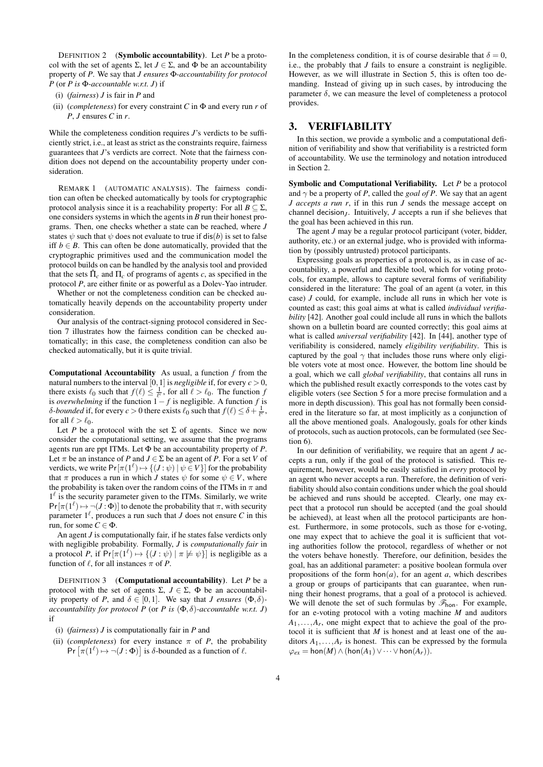DEFINITION 2 (Symbolic accountability). Let *P* be a protocol with the set of agents  $\Sigma$ , let  $J \in \Sigma$ , and  $\Phi$  be an accountability property of *P*. We say that *J ensures* Φ*-accountability for protocol P* (or *P is* Φ*-accountable w.r.t. J*) if

- (i) (*fairness*) *J* is fair in *P* and
- (ii) (*completeness*) for every constraint  $C$  in  $\Phi$  and every run  $r$  of *P*, *J* ensures *C* in *r*.

While the completeness condition requires *J*'s verdicts to be sufficiently strict, i.e., at least as strict as the constraints require, fairness guarantees that *J*'s verdicts are correct. Note that the fairness condition does not depend on the accountability property under consideration.

REMARK 1 (AUTOMATIC ANALYSIS). The fairness condition can often be checked automatically by tools for cryptographic protocol analysis since it is a reachability property: For all  $B \subseteq \Sigma$ , one considers systems in which the agents in *B* run their honest programs. Then, one checks whether a state can be reached, where *J* states  $\psi$  such that  $\psi$  does not evaluate to true if dis(*b*) is set to false iff  $b \in B$ . This can often be done automatically, provided that the cryptographic primitives used and the communication model the protocol builds on can be handled by the analysis tool and provided that the sets  $\hat{\Pi}_c$  and  $\Pi_c$  of programs of agents *c*, as specified in the protocol *P*, are either finite or as powerful as a Dolev-Yao intruder.

Whether or not the completeness condition can be checked automatically heavily depends on the accountability property under consideration.

Our analysis of the contract-signing protocol considered in Section 7 illustrates how the fairness condition can be checked automatically; in this case, the completeness condition can also be checked automatically, but it is quite trivial.

Computational Accountability As usual, a function *f* from the natural numbers to the interval [0, 1] is *negligible* if, for every  $c > 0$ , there exists  $\ell_0$  such that  $f(\ell) \leq \frac{1}{\ell}$ , for all  $\ell > \ell_0$ . The function *f* is *overwhelming* if the function  $1 - f$  is negligible. A function  $f$  is δ*-bounded* if, for every *c* > 0 there exists  $\ell_0$  such that  $f(\ell) \leq \delta + \frac{1}{\ell^c}$ , for all  $\ell > \ell_0$ .

Let *P* be a protocol with the set  $\Sigma$  of agents. Since we now consider the computational setting, we assume that the programs agents run are ppt ITMs. Let Φ be an accountability property of *P*. Let  $\pi$  be an instance of *P* and  $J \in \Sigma$  be an agent of *P*. For a set *V* of verdicts, we write  $Pr[\pi(1^{\ell}) \mapsto \{(J : \psi) | \psi \in V\}]$  for the probability that  $\pi$  produces a run in which *J* states  $\psi$  for some  $\psi \in V$ , where the probability is taken over the random coins of the ITMs in  $\pi$  and  $1<sup>l</sup>$  is the security parameter given to the ITMs. Similarly, we write  $Pr[\pi(1^{\ell}) \mapsto \neg(J : \Phi)]$  to denote the probability that  $\pi$ , with security parameter  $1^{\ell}$ , produces a run such that *J* does not ensure *C* in this run, for some  $C \in \Phi$ .

An agent *J* is computationally fair, if he states false verdicts only with negligible probability. Formally, *J* is *computationally fair* in a protocol *P*, if  $Pr[\pi(1^{\ell}) \mapsto \{(J : \psi) | \pi \not\models \psi\}]$  is negligible as a function of  $\ell$ , for all instances  $\pi$  of *P*.

DEFINITION 3 (Computational accountability). Let *P* be a protocol with the set of agents Σ,  $J \in \Sigma$ , Φ be an accountability property of *P*, and  $\delta \in [0,1]$ . We say that *J ensures*  $(\Phi, \delta)$ *accountability for protocol P* (or *P* is  $(\Phi, \delta)$ -accountable w.r.t. *J*) if

- (i) (*fairness*) *J* is computationally fair in *P* and
- (ii) (*completeness*) for every instance  $\pi$  of *P*, the probability Pr  $[\pi(1^{\ell}) \mapsto \neg(J : \Phi)]$  is  $\delta$ -bounded as a function of  $\ell$ .

In the completeness condition, it is of course desirable that  $\delta = 0$ , i.e., the probably that *J* fails to ensure a constraint is negligible. However, as we will illustrate in Section 5, this is often too demanding. Instead of giving up in such cases, by introducing the parameter  $\delta$ , we can measure the level of completeness a protocol provides.

# 3. VERIFIABILITY

In this section, we provide a symbolic and a computational definition of verifiability and show that verifiability is a restricted form of accountability. We use the terminology and notation introduced in Section 2.

Symbolic and Computational Verifiability. Let *P* be a protocol and  $\gamma$  be a property of *P*, called the *goal of P*. We say that an agent *J accepts a run r*, if in this run *J* sends the message accept on channel decision<sub>*J*</sub>. Intuitively, *J* accepts a run if she believes that the goal has been achieved in this run.

The agent *J* may be a regular protocol participant (voter, bidder, authority, etc.) or an external judge, who is provided with information by (possibly untrusted) protocol participants.

Expressing goals as properties of a protocol is, as in case of accountability, a powerful and flexible tool, which for voting protocols, for example, allows to capture several forms of verifiability considered in the literature: The goal of an agent (a voter, in this case) *J* could, for example, include all runs in which her vote is counted as cast; this goal aims at what is called *individual verifiability* [42]. Another goal could include all runs in which the ballots shown on a bulletin board are counted correctly; this goal aims at what is called *universal verifiability* [42]. In [44], another type of verifiability is considered, namely *eligibility verifiability*. This is captured by the goal  $\gamma$  that includes those runs where only eligible voters vote at most once. However, the bottom line should be a goal, which we call *global verifiability*, that contains all runs in which the published result exactly corresponds to the votes cast by eligible voters (see Section 5 for a more precise formulation and a more in depth discussion). This goal has not formally been considered in the literature so far, at most implicitly as a conjunction of all the above mentioned goals. Analogously, goals for other kinds of protocols, such as auction protocols, can be formulated (see Section 6).

In our definition of verifiability, we require that an agent *J* accepts a run, only if the goal of the protocol is satisfied. This requirement, however, would be easily satisfied in *every* protocol by an agent who never accepts a run. Therefore, the definition of verifiability should also contain conditions under which the goal should be achieved and runs should be accepted. Clearly, one may expect that a protocol run should be accepted (and the goal should be achieved), at least when all the protocol participants are honest. Furthermore, in some protocols, such as those for e-voting, one may expect that to achieve the goal it is sufficient that voting authorities follow the protocol, regardless of whether or not the voters behave honestly. Therefore, our definition, besides the goal, has an additional parameter: a positive boolean formula over propositions of the form  $hon(a)$ , for an agent *a*, which describes a group or groups of participants that can guarantee, when running their honest programs, that a goal of a protocol is achieved. We will denote the set of such formulas by  $\mathscr{F}_{\text{hon}}$ . For example, for an e-voting protocol with a voting machine *M* and auditors  $A_1, \ldots, A_r$ , one might expect that to achieve the goal of the protocol it is sufficient that *M* is honest and at least one of the auditors  $A_1, \ldots, A_r$  is honest. This can be expressed by the formula  $\varphi_{ex}$  = hon(*M*) ∧ (hon(*A*<sub>1</sub>) ∨ · · · ∨ hon(*A*<sub>*r*</sub>)).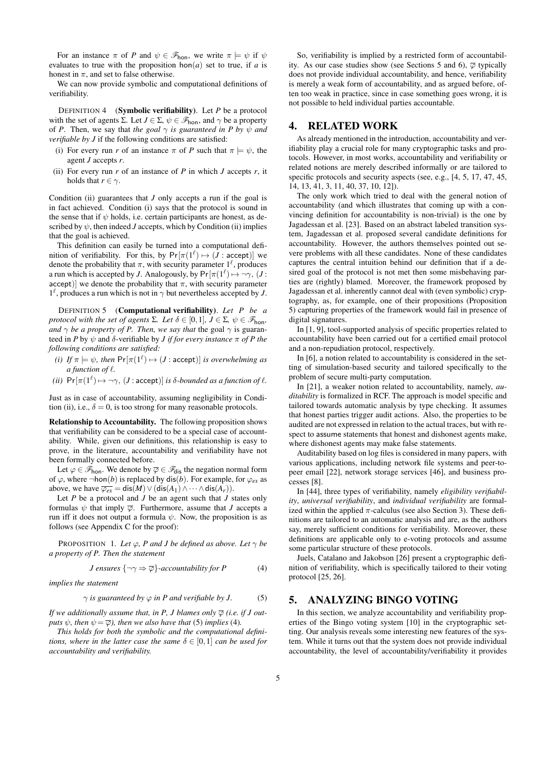For an instance  $\pi$  of *P* and  $\psi \in \mathscr{F}_{\text{hon}}$ , we write  $\pi \models \psi$  if  $\psi$ evaluates to true with the proposition  $hon(a)$  set to true, if *a* is honest in  $\pi$ , and set to false otherwise.

We can now provide symbolic and computational definitions of verifiability.

DEFINITION 4 (Symbolic verifiability). Let *P* be a protocol with the set of agents  $\Sigma$ . Let  $J \in \Sigma$ ,  $\psi \in \mathscr{F}_{\text{hon}}$ , and  $\gamma$  be a property of *P*. Then, we say that *the goal*  $\gamma$  *is guaranteed in P by*  $\psi$  *and verifiable by J* if the following conditions are satisfied:

- (i) For every run *r* of an instance  $\pi$  of *P* such that  $\pi \models \psi$ , the agent *J* accepts *r*.
- (ii) For every run  $r$  of an instance of  $P$  in which  $J$  accepts  $r$ , it holds that  $r \in \gamma$ .

Condition (ii) guarantees that *J* only accepts a run if the goal is in fact achieved. Condition (i) says that the protocol is sound in the sense that if  $\psi$  holds, i.e. certain participants are honest, as described by  $\psi$ , then indeed *J* accepts, which by Condition (ii) implies that the goal is achieved.

This definition can easily be turned into a computational definition of verifiability. For this, by  $Pr[\pi(1^{\ell}) \mapsto (J : \text{accept})]$  we denote the probability that  $\pi$ , with security parameter  $1^{\ell}$ , produces a run which is accepted by *J*. Analogously, by  $Pr[\pi(1^{\ell}) \mapsto \neg \gamma, (J \in$ accept)] we denote the probability that  $\pi$ , with security parameter  $1^{\ell}$ , produces a run which is not in  $\gamma$  but nevertheless accepted by *J*.

DEFINITION 5 (Computational verifiability). *Let P be a protocol with the set of agents*  $\Sigma$ *. Let*  $\delta \in [0,1]$ *,*  $J \in \Sigma$ *,*  $\psi \in \mathscr{F}_{\text{hon}}$ *, and*  $\gamma$  *be a property of P. Then, we say that* the goal  $\gamma$  is guaranteed in *P* by  $\psi$  and  $\delta$ -verifiable by *J if for every instance*  $\pi$  *of P the following conditions are satisfied:*

- *(i) If*  $\pi \models \psi$ *, then*  $Pr[\pi(1^{\ell}) \mapsto (J : \text{accept})]$  *is overwhelming as*  $a$  function of  $\ell$ .
- $(iii)$   $Pr[\pi(1^{\ell}) \mapsto \neg \gamma, (J : \text{accept})]$  *is*  $\delta$ *-bounded as a function of*  $\ell$ *.*

Just as in case of accountability, assuming negligibility in Condition (ii), i.e.,  $\delta = 0$ , is too strong for many reasonable protocols.

Relationship to Accountability. The following proposition shows that verifiability can be considered to be a special case of accountability. While, given our definitions, this relationship is easy to prove, in the literature, accountability and verifiability have not been formally connected before.

Let  $\varphi \in \mathscr{F}_{\text{hon}}$ . We denote by  $\overline{\varphi} \in \mathscr{F}_{\text{dis}}$  the negation normal form of  $\varphi$ , where  $\neg$ hon(*b*) is replaced by dis(*b*). For example, for  $\varphi_{ex}$  as above, we have  $\overline{\varphi_{ex}} = \text{dis}(M) \vee (\text{dis}(A_1) \wedge \cdots \wedge \text{dis}(A_r)).$ 

Let *P* be a protocol and *J* be an agent such that *J* states only formulas  $\psi$  that imply  $\overline{\varphi}$ . Furthermore, assume that *J* accepts a run iff it does not output a formula  $\psi$ . Now, the proposition is as follows (see Appendix C for the proof):

PROPOSITION 1. Let  $\varphi$ , P and J be defined as above. Let  $\gamma$  be *a property of P. Then the statement*

*J* ensures 
$$
\{\neg \gamma \Rightarrow \overline{\varphi}\}
$$
-accountability for *P* (4)

*implies the statement*

$$
\gamma \text{ is guaranteed by } \varphi \text{ in } P \text{ and verifiable by } J. \tag{5}
$$

*If we additionally assume that, in P, J blames only*  $\overline{\varphi}$  *(i.e. if J outputs*  $\psi$ *, then*  $\psi = \overline{\varphi}$ *), then we also have that* (5) *implies* (4)*.* 

*This holds for both the symbolic and the computational definitions, where in the latter case the same*  $\delta \in [0,1]$  *can be used for accountability and verifiability.*

So, verifiability is implied by a restricted form of accountability. As our case studies show (see Sections 5 and 6),  $\overline{\varphi}$  typically does not provide individual accountability, and hence, verifiability is merely a weak form of accountability, and as argued before, often too weak in practice, since in case something goes wrong, it is not possible to held individual parties accountable.

# 4. RELATED WORK

As already mentioned in the introduction, accountability and verifiability play a crucial role for many cryptographic tasks and protocols. However, in most works, accountability and verifiability or related notions are merely described informally or are tailored to specific protocols and security aspects (see, e.g., [4, 5, 17, 47, 45, 14, 13, 41, 3, 11, 40, 37, 10, 12]).

The only work which tried to deal with the general notion of accountability (and which illustrates that coming up with a convincing definition for accountability is non-trivial) is the one by Jagadessan et al. [23]. Based on an abstract labeled transition system, Jagadessan et al. proposed several candidate definitions for accountability. However, the authors themselves pointed out severe problems with all these candidates. None of these candidates captures the central intuition behind our definition that if a desired goal of the protocol is not met then some misbehaving parties are (rightly) blamed. Moreover, the framework proposed by Jagadessan et al. inherently cannot deal with (even symbolic) cryptography, as, for example, one of their propositions (Proposition 5) capturing properties of the framework would fail in presence of digital signatures.

In [1, 9], tool-supported analysis of specific properties related to accountability have been carried out for a certified email protocol and a non-repudiation protocol, respectively.

In [6], a notion related to accountability is considered in the setting of simulation-based security and tailored specifically to the problem of secure multi-party computation.

In [21], a weaker notion related to accountability, namely, *auditability* is formalized in RCF. The approach is model specific and tailored towards automatic analysis by type checking. It assumes that honest parties trigger audit actions. Also, the properties to be audited are not expressed in relation to the actual traces, but with respect to assume statements that honest and dishonest agents make, where dishonest agents may make false statements.

Auditability based on log files is considered in many papers, with various applications, including network file systems and peer-topeer email [22], network storage services [46], and business processes [8].

In [44], three types of verifiability, namely *eligibility verifiability*, *universal verifiability*, and *individual verifiability* are formalized within the applied  $\pi$ -calculus (see also Section 3). These definitions are tailored to an automatic analysis and are, as the authors say, merely sufficient conditions for verifiability. Moreover, these definitions are applicable only to e-voting protocols and assume some particular structure of these protocols.

Juels, Catalano and Jakobson [26] present a cryptographic definition of verifiability, which is specifically tailored to their voting protocol [25, 26].

## 5. ANALYZING BINGO VOTING

In this section, we analyze accountability and verifiability properties of the Bingo voting system [10] in the cryptographic setting. Our analysis reveals some interesting new features of the system. While it turns out that the system does not provide individual accountability, the level of accountability/verifiability it provides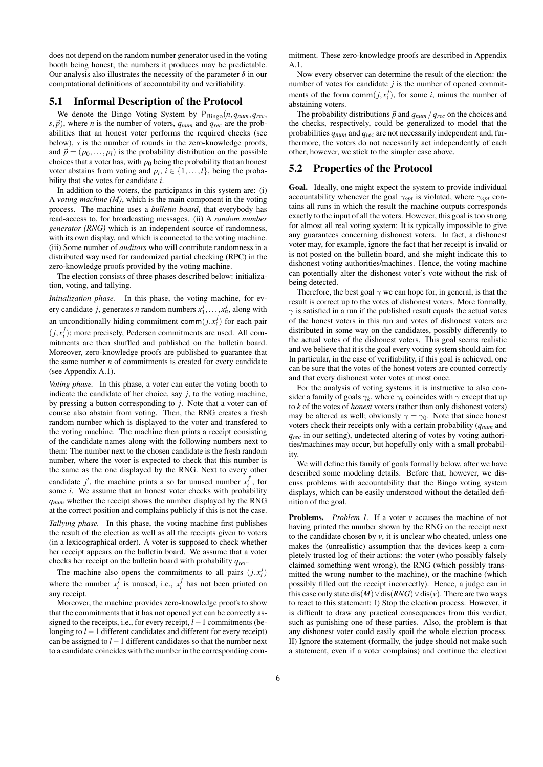does not depend on the random number generator used in the voting booth being honest; the numbers it produces may be predictable. Our analysis also illustrates the necessity of the parameter  $\delta$  in our computational definitions of accountability and verifiability.

#### 5.1 Informal Description of the Protocol

We denote the Bingo Voting System by  $P_{\text{Bingo}}(n, q_{\text{num}}, q_{\text{rec}},$  $s$ ,  $\vec{p}$ ), where *n* is the number of voters,  $q_{num}$  and  $q_{rec}$  are the probabilities that an honest voter performs the required checks (see below), *s* is the number of rounds in the zero-knowledge proofs, and  $\vec{p} = (p_0, \ldots, p_l)$  is the probability distribution on the possible choices that a voter has, with  $p_0$  being the probability that an honest voter abstains from voting and  $p_i$ ,  $i \in \{1, ..., l\}$ , being the probability that she votes for candidate *i*.

In addition to the voters, the participants in this system are: (i) A *voting machine (M)*, which is the main component in the voting process. The machine uses a *bulletin board*, that everybody has read-access to, for broadcasting messages. (ii) A *random number generator (RNG)* which is an independent source of randomness, with its own display, and which is connected to the voting machine. (iii) Some number of *auditors* who will contribute randomness in a distributed way used for randomized partial checking (RPC) in the zero-knowledge proofs provided by the voting machine.

The election consists of three phases described below: initialization, voting, and tallying.

*Initialization phase.* In this phase, the voting machine, for every candidate *j*, generates *n* random numbers  $x_1^j, \ldots, x_n^j$ , along with an unconditionally hiding commitment comm $(j, x_i^j)$  for each pair  $(j, x_i^j)$ ; more precisely, Pedersen commitments are used. All commitments are then shuffled and published on the bulletin board. Moreover, zero-knowledge proofs are published to guarantee that the same number *n* of commitments is created for every candidate (see Appendix A.1).

*Voting phase.* In this phase, a voter can enter the voting booth to indicate the candidate of her choice, say  $j$ , to the voting machine, by pressing a button corresponding to *j*. Note that a voter can of course also abstain from voting. Then, the RNG creates a fresh random number which is displayed to the voter and transfered to the voting machine. The machine then prints a receipt consisting of the candidate names along with the following numbers next to them: The number next to the chosen candidate is the fresh random number, where the voter is expected to check that this number is the same as the one displayed by the RNG. Next to every other candidate *j'*, the machine prints a so far unused number  $x_j^j$  $\frac{J}{i}$ , for some *i*. We assume that an honest voter checks with probability *qnum* whether the receipt shows the number displayed by the RNG at the correct position and complains publicly if this is not the case.

*Tallying phase.* In this phase, the voting machine first publishes the result of the election as well as all the receipts given to voters (in a lexicographical order). A voter is supposed to check whether her receipt appears on the bulletin board. We assume that a voter checks her receipt on the bulletin board with probability *qrec*.

The machine also opens the commitments to all pairs  $(j, x_i^j)$ where the number  $x_i^j$  is unused, i.e.,  $x_i^j$  has not been printed on any receipt.

Moreover, the machine provides zero-knowledge proofs to show that the commitments that it has not opened yet can be correctly assigned to the receipts, i.e., for every receipt, *l*−1 commitments (belonging to *l* −1 different candidates and different for every receipt) can be assigned to *l*−1 different candidates so that the number next to a candidate coincides with the number in the corresponding com-

mitment. These zero-knowledge proofs are described in Appendix A.1.

Now every observer can determine the result of the election: the number of votes for candidate  $j$  is the number of opened commitments of the form  $\text{comm}(j, x_i^j)$ , for some *i*, minus the number of abstaining voters.

The probability distributions  $\vec{p}$  and  $q_{\textit{num}}/q_{\textit{rec}}$  on the choices and the checks, respectively, could be generalized to model that the probabilities *qnum* and *qrec* are not necessarily independent and, furthermore, the voters do not necessarily act independently of each other; however, we stick to the simpler case above.

### 5.2 Properties of the Protocol

Goal. Ideally, one might expect the system to provide individual accountability whenever the goal  $\gamma_{opt}$  is violated, where  $\gamma_{opt}$  contains all runs in which the result the machine outputs corresponds exactly to the input of all the voters. However, this goal is too strong for almost all real voting system: It is typically impossible to give any guarantees concerning dishonest voters. In fact, a dishonest voter may, for example, ignore the fact that her receipt is invalid or is not posted on the bulletin board, and she might indicate this to dishonest voting authorities/machines. Hence, the voting machine can potentially alter the dishonest voter's vote without the risk of being detected.

Therefore, the best goal  $\gamma$  we can hope for, in general, is that the result is correct up to the votes of dishonest voters. More formally,  $\gamma$  is satisfied in a run if the published result equals the actual votes of the honest voters in this run and votes of dishonest voters are distributed in some way on the candidates, possibly differently to the actual votes of the dishonest voters. This goal seems realistic and we believe that it is the goal every voting system should aim for. In particular, in the case of verifiability, if this goal is achieved, one can be sure that the votes of the honest voters are counted correctly and that every dishonest voter votes at most once.

For the analysis of voting systems it is instructive to also consider a family of goals  $\gamma_k$ , where  $\gamma_k$  coincides with  $\gamma$  except that up to *k* of the votes of *honest* voters (rather than only dishonest voters) may be altered as well; obviously  $\gamma = \gamma_0$ . Note that since honest voters check their receipts only with a certain probability (*qnum* and *qrec* in our setting), undetected altering of votes by voting authorities/machines may occur, but hopefully only with a small probability.

We will define this family of goals formally below, after we have described some modeling details. Before that, however, we discuss problems with accountability that the Bingo voting system displays, which can be easily understood without the detailed definition of the goal.

**Problems.** *Problem 1.* If a voter *v* accuses the machine of not having printed the number shown by the RNG on the receipt next to the candidate chosen by *v*, it is unclear who cheated, unless one makes the (unrealistic) assumption that the devices keep a completely trusted log of their actions: the voter (who possibly falsely claimed something went wrong), the RNG (which possibly transmitted the wrong number to the machine), or the machine (which possibly filled out the receipt incorrectly). Hence, a judge can in this case only state dis $(M) \vee$  dis $(RNG) \vee$  dis $(v)$ . There are two ways to react to this statement: I) Stop the election process. However, it is difficult to draw any practical consequences from this verdict, such as punishing one of these parties. Also, the problem is that any dishonest voter could easily spoil the whole election process. II) Ignore the statement (formally, the judge should not make such a statement, even if a voter complains) and continue the election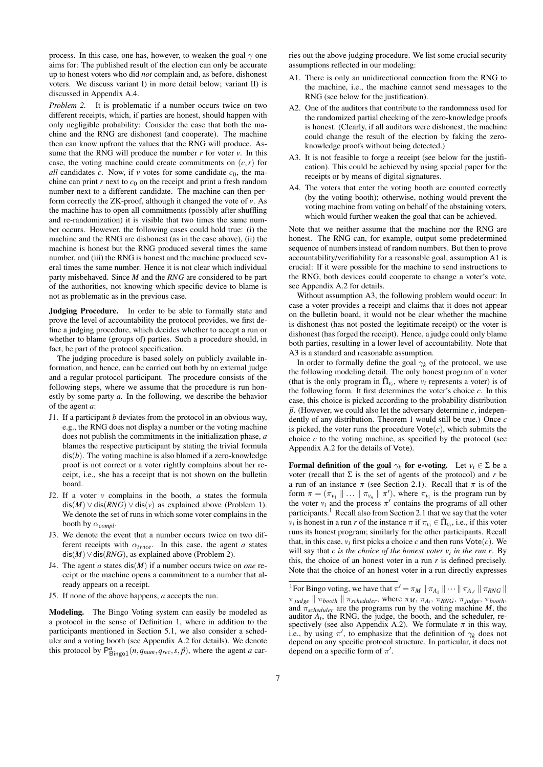process. In this case, one has, however, to weaken the goal  $\gamma$  one aims for: The published result of the election can only be accurate up to honest voters who did *not* complain and, as before, dishonest voters. We discuss variant I) in more detail below; variant II) is discussed in Appendix A.4.

*Problem 2.* It is problematic if a number occurs twice on two different receipts, which, if parties are honest, should happen with only negligible probability: Consider the case that both the machine and the RNG are dishonest (and cooperate). The machine then can know upfront the values that the RNG will produce. Assume that the RNG will produce the number  $r$  for voter  $v$ . In this case, the voting machine could create commitments on  $(c, r)$  for *all* candidates *c*. Now, if *v* votes for some candidate  $c_0$ , the machine can print *r* next to  $c_0$  on the receipt and print a fresh random number next to a different candidate. The machine can then perform correctly the ZK-proof, although it changed the vote of *v*. As the machine has to open all commitments (possibly after shuffling and re-randomization) it is visible that two times the same number occurs. However, the following cases could hold true: (i) the machine and the RNG are dishonest (as in the case above), (ii) the machine is honest but the RNG produced several times the same number, and (iii) the RNG is honest and the machine produced several times the same number. Hence it is not clear which individual party misbehaved. Since *M* and the *RNG* are considered to be part of the authorities, not knowing which specific device to blame is not as problematic as in the previous case.

Judging Procedure. In order to be able to formally state and prove the level of accountability the protocol provides, we first define a judging procedure, which decides whether to accept a run or whether to blame (groups of) parties. Such a procedure should, in fact, be part of the protocol specification.

The judging procedure is based solely on publicly available information, and hence, can be carried out both by an external judge and a regular protocol participant. The procedure consists of the following steps, where we assume that the procedure is run honestly by some party *a*. In the following, we describe the behavior of the agent *a*:

- J1. If a participant *b* deviates from the protocol in an obvious way, e.g., the RNG does not display a number or the voting machine does not publish the commitments in the initialization phase, *a* blames the respective participant by stating the trivial formula dis(*b*). The voting machine is also blamed if a zero-knowledge proof is not correct or a voter rightly complains about her receipt, i.e., she has a receipt that is not shown on the bulletin board.
- J2. If a voter *v* complains in the booth, *a* states the formula  $dis(M) \vee dis(RNG) \vee dis(v)$  as explained above (Problem 1). We denote the set of runs in which some voter complains in the booth by  $\alpha_{compl}$ .
- J3. We denote the event that a number occurs twice on two different receipts with  $\alpha_{twice}$ . In this case, the agent *a* states dis(*M*)∨dis(*RNG*), as explained above (Problem 2).
- J4. The agent *a* states dis(*M*) if a number occurs twice on *one* receipt or the machine opens a commitment to a number that already appears on a receipt.
- J5. If none of the above happens, *a* accepts the run.

Modeling. The Bingo Voting system can easily be modeled as a protocol in the sense of Definition 1, where in addition to the participants mentioned in Section 5.1, we also consider a scheduler and a voting booth (see Appendix A.2 for details). We denote this protocol by  $P_{\text{Bingol}}^a(n, q_{\text{num}}, q_{\text{rec}}, s, \vec{p})$ , where the agent *a* carries out the above judging procedure. We list some crucial security assumptions reflected in our modeling:

- A1. There is only an unidirectional connection from the RNG to the machine, i.e., the machine cannot send messages to the RNG (see below for the justification).
- A2. One of the auditors that contribute to the randomness used for the randomized partial checking of the zero-knowledge proofs is honest. (Clearly, if all auditors were dishonest, the machine could change the result of the election by faking the zeroknowledge proofs without being detected.)
- A3. It is not feasible to forge a receipt (see below for the justification). This could be achieved by using special paper for the receipts or by means of digital signatures.
- A4. The voters that enter the voting booth are counted correctly (by the voting booth); otherwise, nothing would prevent the voting machine from voting on behalf of the abstaining voters, which would further weaken the goal that can be achieved.

Note that we neither assume that the machine nor the RNG are honest. The RNG can, for example, output some predetermined sequence of numbers instead of random numbers. But then to prove accountability/verifiability for a reasonable goal, assumption A1 is crucial: If it were possible for the machine to send instructions to the RNG, both devices could cooperate to change a voter's vote, see Appendix A.2 for details.

Without assumption A3, the following problem would occur: In case a voter provides a receipt and claims that it does not appear on the bulletin board, it would not be clear whether the machine is dishonest (has not posted the legitimate receipt) or the voter is dishonest (has forged the receipt). Hence, a judge could only blame both parties, resulting in a lower level of accountability. Note that A3 is a standard and reasonable assumption.

In order to formally define the goal  $\gamma_k$  of the protocol, we use the following modeling detail. The only honest program of a voter (that is the only program in  $\hat{\Pi}_{v_i}$ , where  $v_i$  represents a voter) is of the following form. It first determines the voter's choice *c*. In this case, this choice is picked according to the probability distribution  $\vec{p}$ . (However, we could also let the adversary determine *c*, independently of any distribution. Theorem 1 would still be true.) Once *c* is picked, the voter runs the procedure  $\text{Vote}(c)$ , which submits the choice  $c$  to the voting machine, as specified by the protocol (see Appendix A.2 for the details of Vote).

**Formal definition of the goal**  $\gamma_k$  for e-voting. Let  $v_i \in \Sigma$  be a voter (recall that  $\Sigma$  is the set of agents of the protocol) and *r* be a run of an instance  $\pi$  (see Section 2.1). Recall that  $\pi$  is of the form  $\pi = (\pi_{v_1} \parallel ... \parallel \pi_{v_n} \parallel \pi'),$  where  $\pi_{v_i}$  is the program run by the voter  $v_i$  and the process  $\pi'$  contains the programs of all other participants.<sup>1</sup> Recall also from Section 2.1 that we say that the voter *v*<sup>*i*</sup> is honest in a run *r* of the instance  $\pi$  if  $\pi_{v_i} \in \hat{\Pi}_{v_i}$ , i.e., if this voter runs its honest program; similarly for the other participants. Recall that, in this case,  $v_i$  first picks a choice c and then runs  $\text{Vote}(c)$ . We will say that *c is the choice of the honest voter vi in the run r*. By this, the choice of an honest voter in a run *r* is defined precisely. Note that the choice of an honest voter in a run directly expresses

<sup>&</sup>lt;sup>1</sup> For Bingo voting, we have that  $\pi' = \pi_M || \pi_{A_1} || \cdots || \pi_{A_r} || \pi_{RNG} ||$  $\pi_{judge} \parallel \pi_{booth} \parallel \pi_{scheduler}$ , where  $\pi_M$ ,  $\pi_{A_i}$ ,  $\pi_{RNG}$ ,  $\pi_{judge}$ ,  $\pi_{booth}$ , and π*scheduler* are the programs run by the voting machine *M*, the auditor  $A_i$ , the RNG, the judge, the booth, and the scheduler, respectively (see also Appendix A.2). We formulate  $\pi$  in this way, i.e., by using  $\pi'$ , to emphasize that the definition of  $\gamma_k$  does not depend on any specific protocol structure. In particular, it does not depend on a specific form of  $\pi'$ .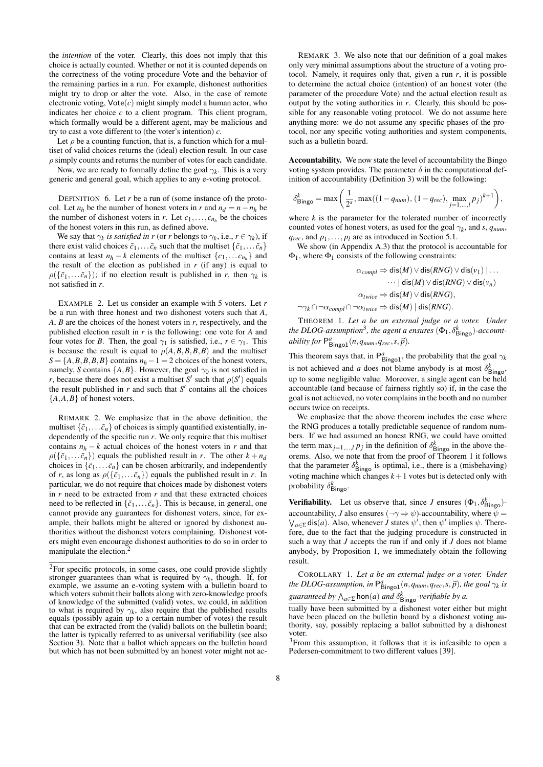the *intention* of the voter. Clearly, this does not imply that this choice is actually counted. Whether or not it is counted depends on the correctness of the voting procedure Vote and the behavior of the remaining parties in a run. For example, dishonest authorities might try to drop or alter the vote. Also, in the case of remote electronic voting,  $\text{Vote}(c)$  might simply model a human actor, who indicates her choice *c* to a client program. This client program, which formally would be a different agent, may be malicious and try to cast a vote different to (the voter's intention) *c*.

Let  $\rho$  be a counting function, that is, a function which for a multiset of valid choices returns the (ideal) election result. In our case  $\rho$  simply counts and returns the number of votes for each candidate.

Now, we are ready to formally define the goal  $\gamma_k$ . This is a very generic and general goal, which applies to any e-voting protocol.

DEFINITION 6. Let *r* be a run of (some instance of) the protocol. Let  $n_h$  be the number of honest voters in *r* and  $n_d = n - n_h$  be the number of dishonest voters in *r*. Let  $c_1, \ldots, c_{n_h}$  be the choices of the honest voters in this run, as defined above.

We say that  $\gamma_k$  *is satisfied in r* (or *r* belongs to  $\gamma_k$ , i.e.,  $r \in \gamma_k$ ), if there exist valid choices  $\tilde{c}_1, \ldots, \tilde{c}_n$  such that the multiset  $\{\tilde{c}_1, \ldots, \tilde{c}_n\}$ contains at least  $n_h - k$  elements of the multiset  $\{c_1, \ldots c_{n_h}\}\$  and the result of the election as published in  $r$  (if any) is equal to  $\rho(\{\tilde{c}_1,\ldots \tilde{c}_n\})$ ; if no election result is published in *r*, then  $\gamma_k$  is not satisfied in *r*.

EXAMPLE 2. Let us consider an example with 5 voters. Let *r* be a run with three honest and two dishonest voters such that *A*, *A*, *B* are the choices of the honest voters in *r*, respectively, and the published election result in *r* is the following: one vote for *A* and four votes for *B*. Then, the goal  $\gamma_1$  is satisfied, i.e.,  $r \in \gamma_1$ . This is because the result is equal to  $\rho(A, B, B, B, B)$  and the multiset  $S = \{A, B, B, B, B\}$  contains  $n_h - 1 = 2$  choices of the honest voters, namely, *S* contains  $\{A, B\}$ . However, the goal  $\gamma_0$  is not satisfied in *r*, because there does not exist a multiset *S*<sup> $\prime$ </sup> such that  $\rho(S')$  equals the result published in  $r$  and such that  $S'$  contains all the choices  ${A, A, B}$  of honest voters.

REMARK 2. We emphasize that in the above definition, the multiset  $\{\tilde{c}_1,\ldots,\tilde{c}_n\}$  of choices is simply quantified existentially, independently of the specific run *r*. We only require that this multiset contains  $n_h - k$  actual choices of the honest voters in *r* and that  $\rho(\{\tilde{c}_1,\ldots \tilde{c}_n\})$  equals the published result in *r*. The other  $k + n_d$ choices in  $\{\tilde{c}_1, \ldots \tilde{c}_n\}$  can be chosen arbitrarily, and independently of *r*, as long as  $\rho({\{\tilde{c}_1,\ldots \tilde{c}_n\}})$  equals the published result in *r*. In particular, we do not require that choices made by dishonest voters in *r* need to be extracted from *r* and that these extracted choices need to be reflected in  $\{\tilde{c}_1, \ldots, \tilde{c}_n\}$ . This is because, in general, one cannot provide any guarantees for dishonest voters, since, for example, their ballots might be altered or ignored by dishonest authorities without the dishonest voters complaining. Dishonest voters might even encourage dishonest authorities to do so in order to manipulate the election.<sup>2</sup>

REMARK 3. We also note that our definition of a goal makes only very minimal assumptions about the structure of a voting protocol. Namely, it requires only that, given a run  $r$ , it is possible to determine the actual choice (intention) of an honest voter (the parameter of the procedure Vote) and the actual election result as output by the voting authorities in *r*. Clearly, this should be possible for any reasonable voting protocol. We do not assume here anything more: we do not assume any specific phases of the protocol, nor any specific voting authorities and system components, such as a bulletin board.

Accountability. We now state the level of accountability the Bingo voting system provides. The parameter  $\delta$  in the computational definition of accountability (Definition 3) will be the following:

$$
\delta^k_{\text{Bingo}} = \max\bigg( \frac{1}{2^s}, \max((1 - q_{num}), (1 - q_{rec}), \max_{j=1,...,l} p_j)^{k+1} \bigg),
$$

where  $k$  is the parameter for the tolerated number of incorrectly counted votes of honest voters, as used for the goal  $\gamma_k$ , and *s*,  $q_{num}$ ,  $q_{rec}$ , and  $p_1, \ldots, p_l$  are as introduced in Section 5.1.

We show (in Appendix A.3) that the protocol is accountable for  $\Phi_1$ , where  $\Phi_1$  consists of the following constraints:

$$
\alpha_{compl} \Rightarrow \text{dis}(M) \lor \text{dis}(RNG) \lor \text{dis}(v_1) | \dots
$$

$$
\cdots | \text{dis}(M) \lor \text{dis}(RNG) \lor \text{dis}(v_n)
$$

$$
\alpha_{twice} \Rightarrow \text{dis}(M) \lor \text{dis}(RNG),
$$

$$
\neg \gamma_k \cap \neg \alpha_{compl} \cap \neg \alpha_{twice} \Rightarrow \text{dis}(M) | \text{dis}(RNG).
$$

THEOREM 1. *Let a be an external judge or a voter. Under* the DLOG-assumption<sup>3</sup>, the agent a ensures  $(\Phi_1, \delta_{\mathsf{Bingo}}^k)$ -account*ability for*  $P_{\text{Bingo1}}^a(n, q_{\text{num}}, q_{\text{rec}}, s, \vec{p}).$ 

This theorem says that, in  $P_{\text{Bingo1}}^a$ , the probability that the goal  $\gamma_k$ is not achieved and *a* does not blame anybody is at most  $\delta_{\text{Binge}}^k$ , up to some negligible value. Moreover, a single agent can be held accountable (and because of fairness rightly so) if, in the case the goal is not achieved, no voter complains in the booth and no number occurs twice on receipts.

We emphasize that the above theorem includes the case where the RNG produces a totally predictable sequence of random numbers. If we had assumed an honest RNG, we could have omitted the term  $\max_{j=1,\dots,l} p_j$  in the definition of  $\delta_{\text{Bingo}}^k$  in the above theorems. Also, we note that from the proof of Theorem 1 it follows that the parameter  $\delta_{\text{Bingo}}^k$  is optimal, i.e., there is a (misbehaving) voting machine which changes  $k+1$  votes but is detected only with probability δ *k* Bingo.

**Verifiability.** Let us observe that, since *J* ensures  $(\Phi_1, \delta_{\text{Bingo}}^k)$ accountability, *J* also ensures ( $\neg \gamma \Rightarrow \psi$ )-accountability, where  $\psi =$  $\bigvee_{a \in \Sigma} \text{dis}(a)$ . Also, whenever *J* states  $\psi'$ , then  $\psi'$  implies  $\psi$ . Therefore, due to the fact that the judging procedure is constructed in such a way that *J* accepts the run if and only if *J* does not blame anybody, by Proposition 1, we immediately obtain the following result.

COROLLARY 1. *Let a be an external judge or a voter. Under the DLOG-assumption, in*  $P_{\text{Bingol}}^a(n, q_{\text{num}}, q_{\text{rec}}, s, \vec{p})$ *, the goal*  $\gamma_k$  *is* guaranteed by  $\bigwedge_{a \in \Sigma} \text{hon}(a)$  and  $\delta^k_{\text{Bingo}}$ *-verifiable by a.* 

<sup>2</sup>For specific protocols, in some cases, one could provide slightly stronger guarantees than what is required by  $\gamma_k$ , though. If, for example, we assume an e-voting system with a bulletin board to which voters submit their ballots along with zero-knowledge proofs of knowledge of the submitted (valid) votes, we could, in addition to what is required by  $\gamma_k$ , also require that the published results equals (possibly again up to a certain number of votes) the result that can be extracted from the (valid) ballots on the bulletin board; the latter is typically referred to as universal verifiability (see also Section 3). Note that a ballot which appears on the bulletin board but which has not been submitted by an honest voter might not ac-

tually have been submitted by a dishonest voter either but might have been placed on the bulletin board by a dishonest voting authority, say, possibly replacing a ballot submitted by a dishonest voter.

<sup>3</sup>From this assumption, it follows that it is infeasible to open a Pedersen-commitment to two different values [39].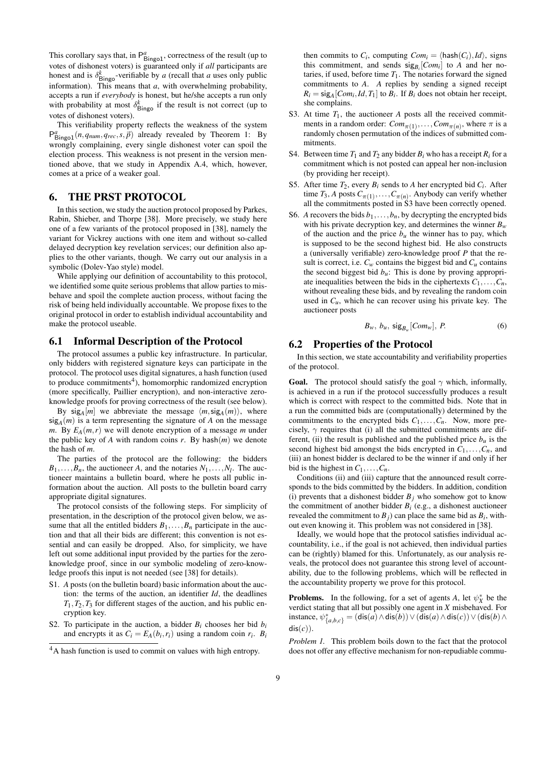This corollary says that, in  $P_{\text{Bingol}}^a$ , correctness of the result (up to votes of dishonest voters) is guaranteed only if *all* participants are honest and is  $\delta_{\text{Bingo}}^k$ -verifiable by *a* (recall that *a* uses only public information). This means that *a*, with overwhelming probability, accepts a run if *everybody* is honest, but he/she accepts a run only with probability at most  $\delta_{\text{Bingo}}^k$  if the result is not correct (up to votes of dishonest voters).

This verifiability property reflects the weakness of the system  $P_{\text{Bingol}}^a(n, q_{\text{num}}, q_{\text{rec}}, s, \vec{p})$  already revealed by Theorem 1: By wrongly complaining, every single dishonest voter can spoil the election process. This weakness is not present in the version mentioned above, that we study in Appendix A.4, which, however, comes at a price of a weaker goal.

# 6. THE PRST PROTOCOL

In this section, we study the auction protocol proposed by Parkes, Rabin, Shieber, and Thorpe [38]. More precisely, we study here one of a few variants of the protocol proposed in [38], namely the variant for Vickrey auctions with one item and without so-called delayed decryption key revelation services; our definition also applies to the other variants, though. We carry out our analysis in a symbolic (Dolev-Yao style) model.

While applying our definition of accountability to this protocol, we identified some quite serious problems that allow parties to misbehave and spoil the complete auction process, without facing the risk of being held individually accountable. We propose fixes to the original protocol in order to establish individual accountability and make the protocol useable.

#### 6.1 Informal Description of the Protocol

The protocol assumes a public key infrastructure. In particular, only bidders with registered signature keys can participate in the protocol. The protocol uses digital signatures, a hash function (used to produce commitments<sup>4</sup>), homomorphic randomized encryption (more specifically, Paillier encryption), and non-interactive zeroknowledge proofs for proving correctness of the result (see below).

By  $sig_A[m]$  we abbreviate the message  $\langle m, sig_A(m) \rangle$ , where  $sig_A(m)$  is a term representing the signature of *A* on the message *m*. By  $E_A(m,r)$  we will denote encryption of a message *m* under the public key of *A* with random coins  $r$ . By hash $(m)$  we denote the hash of *m*.

The parties of the protocol are the following: the bidders  $B_1, \ldots, B_n$ , the auctioneer *A*, and the notaries  $N_1, \ldots, N_l$ . The auctioneer maintains a bulletin board, where he posts all public information about the auction. All posts to the bulletin board carry appropriate digital signatures.

The protocol consists of the following steps. For simplicity of presentation, in the description of the protocol given below, we assume that all the entitled bidders  $B_1, \ldots, B_n$  participate in the auction and that all their bids are different; this convention is not essential and can easily be dropped. Also, for simplicity, we have left out some additional input provided by the parties for the zeroknowledge proof, since in our symbolic modeling of zero-knowledge proofs this input is not needed (see [38] for details).

- S1. *A* posts (on the bulletin board) basic information about the auction: the terms of the auction, an identifier *Id*, the deadlines  $T_1, T_2, T_3$  for different stages of the auction, and his public encryption key.
- S2. To participate in the auction, a bidder  $B_i$  chooses her bid  $b_i$ and encrypts it as  $C_i = E_A(b_i, r_i)$  using a random coin  $r_i$ .  $B_i$

then commits to  $C_i$ , computing  $Com_i = \langle \text{hash}(C_i), Id \rangle$ , signs this commitment, and sends  $sig_{B_i}[Com_i]$  to *A* and her notaries, if used, before time  $T_1$ . The notaries forward the signed commitments to *A*. *A* replies by sending a signed receipt  $R_i = \text{sig}_A[Com_i, Id, T_1]$  to  $B_i$ . If  $B_i$  does not obtain her receipt, she complains.

- S3. At time  $T_1$ , the auctioneer  $A$  posts all the received commitments in a random order:  $Com_{\pi(1)}, \ldots, Com_{\pi(n)}$ , where  $\pi$  is a randomly chosen permutation of the indices of submitted commitments.
- S4. Between time  $T_1$  and  $T_2$  any bidder  $B_i$  who has a receipt  $R_i$  for a commitment which is not posted can appeal her non-inclusion (by providing her receipt).
- S5. After time  $T_2$ , every  $B_i$  sends to  $A$  her encrypted bid  $C_i$ . After time  $T_3$ , *A* posts  $C_{\pi(1)}, \ldots, C_{\pi(n)}$ . Anybody can verify whether all the commitments posted in S3 have been correctly opened.
- S6. *A* recovers the bids  $b_1, \ldots, b_n$ , by decrypting the encrypted bids with his private decryption key, and determines the winner  $B_w$ of the auction and the price  $b<sub>u</sub>$  the winner has to pay, which is supposed to be the second highest bid. He also constructs a (universally verifiable) zero-knowledge proof *P* that the result is correct, i.e.  $C_w$  contains the biggest bid and  $C_u$  contains the second biggest bid  $b<sub>u</sub>$ : This is done by proving appropriate inequalities between the bids in the ciphertexts  $C_1, \ldots, C_n$ , without revealing these bids, and by revealing the random coin used in  $C_u$ , which he can recover using his private key. The auctioneer posts

$$
B_w, b_u, \text{sig}_{B_w}[Com_w], P. \tag{6}
$$

# 6.2 Properties of the Protocol

In this section, we state accountability and verifiability properties of the protocol.

**Goal.** The protocol should satisfy the goal  $\gamma$  which, informally, is achieved in a run if the protocol successfully produces a result which is correct with respect to the committed bids. Note that in a run the committed bids are (computationally) determined by the commitments to the encrypted bids  $C_1, \ldots, C_n$ . Now, more precisely,  $\gamma$  requires that (i) all the submitted commitments are different, (ii) the result is published and the published price  $b<sub>u</sub>$  is the second highest bid amongst the bids encrypted in  $C_1, \ldots, C_n$ , and (iii) an honest bidder is declared to be the winner if and only if her bid is the highest in  $C_1, \ldots, C_n$ .

Conditions (ii) and (iii) capture that the announced result corresponds to the bids committed by the bidders. In addition, condition (i) prevents that a dishonest bidder  $B_j$  who somehow got to know the commitment of another bidder  $B_i$  (e.g., a dishonest auctioneer revealed the commitment to  $B_j$ ) can place the same bid as  $B_i$ , without even knowing it. This problem was not considered in [38].

Ideally, we would hope that the protocol satisfies individual accountability, i.e., if the goal is not achieved, then individual parties can be (rightly) blamed for this. Unfortunately, as our analysis reveals, the protocol does not guarantee this strong level of accountability, due to the following problems, which will be reflected in the accountability property we prove for this protocol.

**Problems.** In the following, for a set of agents *A*, let  $\psi_X^*$  be the verdict stating that all but possibly one agent in *X* misbehaved. For instance,  $\psi^*_{\{a,b,c\}}$  = (dis(*a*)∧dis(*b*))∨(dis(*a*)∧dis(*c*))∨(dis(*b*)∧ dis(*c*)).

*Problem 1.* This problem boils down to the fact that the protocol does not offer any effective mechanism for non-repudiable commu-

<sup>&</sup>lt;sup>4</sup>A hash function is used to commit on values with high entropy.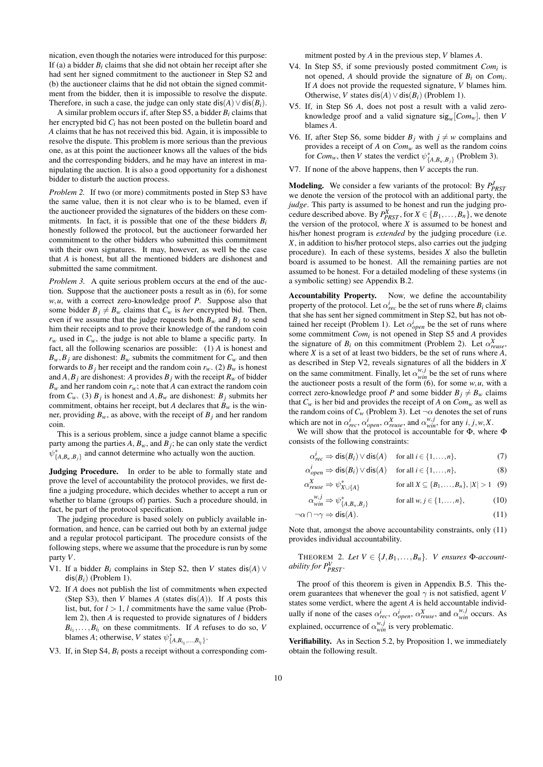nication, even though the notaries were introduced for this purpose: If (a) a bidder  $B_i$  claims that she did not obtain her receipt after she had sent her signed commitment to the auctioneer in Step S2 and (b) the auctioneer claims that he did not obtain the signed commitment from the bidder, then it is impossible to resolve the dispute. Therefore, in such a case, the judge can only state  $dis(A) \vee dis(B_i)$ .

A similar problem occurs if, after Step S5, a bidder *Bi* claims that her encrypted bid *Ci* has not been posted on the bulletin board and *A* claims that he has not received this bid. Again, it is impossible to resolve the dispute. This problem is more serious than the previous one, as at this point the auctioneer knows all the values of the bids and the corresponding bidders, and he may have an interest in manipulating the auction. It is also a good opportunity for a dishonest bidder to disturb the auction process.

*Problem 2.* If two (or more) commitments posted in Step S3 have the same value, then it is not clear who is to be blamed, even if the auctioneer provided the signatures of the bidders on these commitments. In fact, it is possible that one of the these bidders *Bi* honestly followed the protocol, but the auctioneer forwarded her commitment to the other bidders who submitted this commitment with their own signatures. It may, however, as well be the case that *A* is honest, but all the mentioned bidders are dishonest and submitted the same commitment.

*Problem 3.* A quite serious problem occurs at the end of the auction. Suppose that the auctioneer posts a result as in (6), for some *w*,*u*, with a correct zero-knowledge proof *P*. Suppose also that some bidder  $B_j \neq B_w$  claims that  $C_w$  is *her* encrypted bid. Then, even if we assume that the judge requests both  $B_w$  and  $B_j$  to send him their receipts and to prove their knowledge of the random coin  $r_w$  used in  $C_w$ , the judge is not able to blame a specific party. In fact, all the following scenarios are possible: (1) *A* is honest and  $B_w$ ,  $B_j$  are dishonest:  $B_w$  submits the commitment for  $C_w$  and then forwards to  $B_j$  her receipt and the random coin  $r_w$ . (2)  $B_w$  is honest and  $A, B_j$  are dishonest: A provides  $B_j$  with the receipt  $R_w$  of bidder  $B_w$  and her random coin  $r_w$ ; note that *A* can extract the random coin from  $C_w$ . (3)  $B_j$  is honest and  $A, B_w$  are dishonest:  $B_j$  submits her commitment, obtains her receipt, but *A* declares that  $B_w$  is the winner, providing  $B_w$ , as above, with the receipt of  $B_j$  and her random coin.

This is a serious problem, since a judge cannot blame a specific party among the parties  $A$ ,  $B_w$ , and  $B_j$ ; he can only state the verdict  $\psi_{\{A,B_w,B_j\}}^*$  and cannot determine who actually won the auction.

Judging Procedure. In order to be able to formally state and prove the level of accountability the protocol provides, we first define a judging procedure, which decides whether to accept a run or whether to blame (groups of) parties. Such a procedure should, in fact, be part of the protocol specification.

The judging procedure is based solely on publicly available information, and hence, can be carried out both by an external judge and a regular protocol participant. The procedure consists of the following steps, where we assume that the procedure is run by some party *V*.

- V1. If a bidder  $B_i$  complains in Step S2, then *V* states dis(*A*)  $\vee$  $dis(B_i)$  (Problem 1).
- V2. If *A* does not publish the list of commitments when expected (Step S3), then *V* blames *A* (states  $dis(A)$ ). If *A* posts this list, but, for *l* > 1, *l* commitments have the same value (Problem 2), then *A* is requested to provide signatures of *l* bidders  $B_{i_1}, \ldots, B_{i_l}$  on these commitments. If *A* refuses to do so, *V* blames *A*; otherwise, *V* states  $\psi_{\{A, B_{i_1}, \dots, B_{i_l}\}}^*$ .
- V3. If, in Step S4, *Bi* posts a receipt without a corresponding com-

mitment posted by *A* in the previous step, *V* blames *A*.

- V4. In Step S5, if some previously posted commitment *Comi* is not opened, A should provide the signature of  $B_i$  on  $Com_i$ . If *A* does not provide the requested signature, *V* blames him. Otherwise, *V* states dis(*A*)  $\vee$  dis(*B<sub>i</sub>*) (Problem 1).
- V5. If, in Step S6 *A*, does not post a result with a valid zeroknowledge proof and a valid signature  $sig_w[Com_w]$ , then *V* blames *A*.
- V6. If, after Step S6, some bidder  $B_j$  with  $j \neq w$  complains and provides a receipt of *A* on *Comw* as well as the random coins for *Com<sub>w</sub>*, then *V* states the verdict  $\psi^*_{\{A,B_w,B_j\}}$  (Problem 3).
- V7. If none of the above happens, then *V* accepts the run.

**Modeling.** We consider a few variants of the protocol: By  $P_{PRST}^J$ we denote the version of the protocol with an additional party, the *judge*. This party is assumed to be honest and run the judging procedure described above. By  $P_{PRT}^X$ , for  $X \in \{B_1, \ldots, B_n\}$ , we denote the version of the protocol, where  $X$  is assumed to be honest and his/her honest program is *extended* by the judging procedure (i.e. *X*, in addition to his/her protocol steps, also carries out the judging procedure). In each of these systems, besides *X* also the bulletin board is assumed to be honest. All the remaining parties are not assumed to be honest. For a detailed modeling of these systems (in a symbolic setting) see Appendix B.2.

Accountability Property. Now, we define the accountability property of the protocol. Let  $\alpha_{rec}^i$  be the set of runs where  $B_i$  claims that she has sent her signed commitment in Step S2, but has not obtained her receipt (Problem 1). Let  $\alpha_{open}^i$  be the set of runs where some commitment *Comi* is not opened in Step S5 and *A* provides the signature of  $B_i$  on this commitment (Problem 2). Let  $\alpha_{reuse}^X$ , where  $X$  is a set of at least two bidders, be the set of runs where  $A$ , as described in Step V2, reveals signatures of all the bidders in *X* on the same commitment. Finally, let  $\alpha_{win}^{w,j}$  be the set of runs where the auctioneer posts a result of the form  $(6)$ , for some *w*, *u*, with a correct zero-knowledge proof *P* and some bidder  $B_j \neq B_w$  claims that  $C_w$  is her bid and provides the receipt of *A* on  $Com_w$  as well as the random coins of  $C_w$  (Problem 3). Let  $\neg \alpha$  denotes the set of runs which are not in  $\alpha_{rec}^i$ ,  $\alpha_{open}^i$ ,  $\alpha_{reuse}^X$ , and  $\alpha_{win}^{w,j}$ , for any *i*, *j*,*w*,*X*.

We will show that the protocol is accountable for Φ, where Φ consists of the following constraints:

$$
\alpha_{rec}^i \Rightarrow \text{dis}(B_i) \lor \text{dis}(A) \quad \text{for all } i \in \{1, ..., n\},\tag{7}
$$

$$
\alpha_{open}^t \Rightarrow \text{dis}(B_i) \lor \text{dis}(A) \quad \text{ for all } i \in \{1, \dots, n\},\tag{8}
$$

$$
\alpha_{reuse}^X \Rightarrow \psi_{X \cup \{A\}}^* \qquad \text{for all } X \subseteq \{B_1, \dots, B_n\}, |X| > 1 \quad (9)
$$

$$
\alpha_{win}^{w,j} \Rightarrow \psi_{\{A, B_w, B_j\}}^* \qquad \text{for all } w, j \in \{1, \dots, n\},
$$
 (10)

$$
\neg \alpha \cap \neg \gamma \Rightarrow \text{dis}(A). \tag{11}
$$

Note that, amongst the above accountability constraints, only (11) provides individual accountability.

THEOREM 2. Let  $V \in \{J, B_1, \ldots, B_n\}$ . *V* ensures  $\Phi$ -account*ability for P<sup>V</sup> PRST .*

The proof of this theorem is given in Appendix B.5. This theorem guarantees that whenever the goal  $\gamma$  is not satisfied, agent *V* states some verdict, where the agent *A* is held accountable individually if none of the cases  $\alpha_{rec}^i$ ,  $\alpha_{open}^i$ ,  $\alpha_{reuse}^X$ , and  $\alpha_{win}^{w,j}$  occurs. As explained, occurrence of  $\alpha_{win}^{w,j}$  is very problematic.

Verifiability. As in Section 5.2, by Proposition 1, we immediately obtain the following result.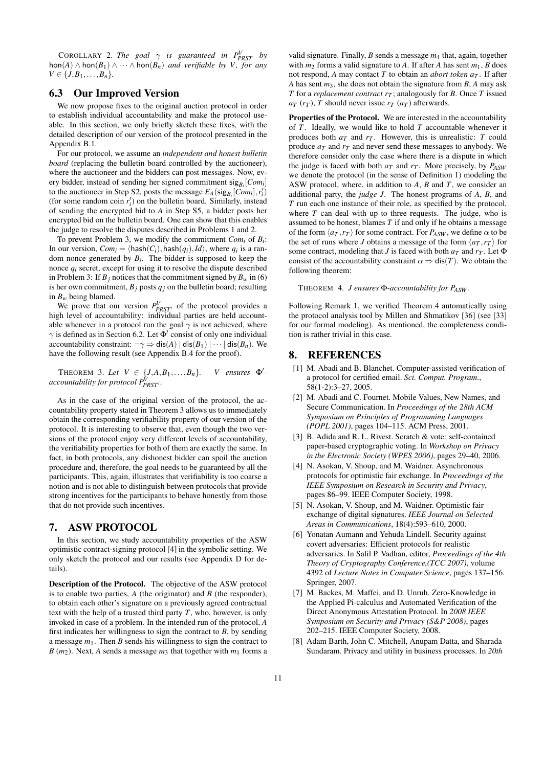**COROLLARY** 2. *The goal*  $\gamma$  *is guaranteed in*  $P_{PRST}^V$  *by* hon(*A*) ∧ hon(*B*<sub>1</sub>) ∧ ··· ∧ hon(*B*<sub>*n*</sub>) *and verifiable by V, for any*  $V \in \{J, B_1, \ldots, B_n\}.$ 

# 6.3 Our Improved Version

We now propose fixes to the original auction protocol in order to establish individual accountability and make the protocol useable. In this section, we only briefly sketch these fixes, with the detailed description of our version of the protocol presented in the Appendix B.1.

For our protocol, we assume an *independent and honest bulletin board* (replacing the bulletin board controlled by the auctioneer), where the auctioneer and the bidders can post messages. Now, every bidder, instead of sending her signed commitment sig*B<sup>i</sup>* [*Com<sup>i</sup>* ] to the auctioneer in Step S2, posts the message  $E_A(\text{sig}_{B_i}[\text{Com}_i], r_i')$ (for some random coin  $r'_i$ ) on the bulletin board. Similarly, instead of sending the encrypted bid to *A* in Step S5, a bidder posts her encrypted bid on the bulletin board. One can show that this enables the judge to resolve the disputes described in Problems 1 and 2.

To prevent Problem 3, we modify the commitment *Comi* of *Bi* : In our version,  $Com_i = \langle \text{hash}(C_i), \text{hash}(q_i), Id \rangle$ , where  $q_i$  is a random nonce generated by  $B_i$ . The bidder is supposed to keep the nonce  $q_i$  secret, except for using it to resolve the dispute described in Problem 3: If  $B_i$  notices that the commitment signed by  $B_w$  in (6) is her own commitment,  $B_j$  posts  $q_j$  on the bulletin board; resulting in  $B_w$  being blamed.

We prove that our version  $P_{PRST}^V$  of the protocol provides a high level of accountability: individual parties are held accountable whenever in a protocol run the goal  $\gamma$  is not achieved, where  $\gamma$  is defined as in Section 6.2. Let  $\Phi'$  consist of only one individual accountability constraint:  $\neg \gamma \Rightarrow \text{dis}(A) | \text{dis}(B_1) | \cdots | \text{dis}(B_n)$ . We have the following result (see Appendix B.4 for the proof).

THEOREM 3. Let  $V \in \{J, A, B_1, \ldots, B_n\}$ . *V ensures*  $\Phi'$ *accountability for protocol*  $P_{PRST}^{\hat{V}}$ *.* 

As in the case of the original version of the protocol, the accountability property stated in Theorem 3 allows us to immediately obtain the corresponding verifiability property of our version of the protocol. It is interesting to observe that, even though the two versions of the protocol enjoy very different levels of accountability, the verifiability properties for both of them are exactly the same. In fact, in both protocols, any dishonest bidder can spoil the auction procedure and, therefore, the goal needs to be guaranteed by all the participants. This, again, illustrates that verifiability is too coarse a notion and is not able to distinguish between protocols that provide strong incentives for the participants to behave honestly from those that do not provide such incentives.

#### 7. ASW PROTOCOL

In this section, we study accountability properties of the ASW optimistic contract-signing protocol [4] in the symbolic setting. We only sketch the protocol and our results (see Appendix D for details).

Description of the Protocol. The objective of the ASW protocol is to enable two parties, *A* (the originator) and *B* (the responder), to obtain each other's signature on a previously agreed contractual text with the help of a trusted third party *T*, who, however, is only invoked in case of a problem. In the intended run of the protocol, *A* first indicates her willingness to sign the contract to *B*, by sending a message  $m_1$ . Then *B* sends his willingness to sign the contract to *B* ( $m_2$ ). Next, *A* sends a message  $m_3$  that together with  $m_1$  forms a

valid signature. Finally, *B* sends a message *m*<sup>4</sup> that, again, together with  $m_2$  forms a valid signature to *A*. If after *A* has sent  $m_1$ , *B* does not respond, *A* may contact *T* to obtain an *abort token*  $a_T$ . If after *A* has sent *m*3, she does not obtain the signature from *B*, *A* may ask *T* for a *replacement contract*  $r<sub>T</sub>$ ; analogously for *B*. Once *T* issued  $a_T$  ( $r_T$ ), *T* should never issue  $r_T$  ( $a_T$ ) afterwards.

Properties of the Protocol. We are interested in the accountability of *T*. Ideally, we would like to hold *T* accountable whenever it produces both  $a_T$  and  $r_T$ . However, this is unrealistic: *T* could produce  $a_T$  and  $r_T$  and never send these messages to anybody. We therefore consider only the case where there is a dispute in which the judge is faced with both  $a_T$  and  $r_T$ . More precisely, by  $P_{ASW}$ we denote the protocol (in the sense of Definition 1) modeling the ASW protocol, where, in addition to *A*, *B* and *T*, we consider an additional party, the *judge J*. The honest programs of *A*, *B*, and *T* run each one instance of their role, as specified by the protocol, where *T* can deal with up to three requests. The judge, who is assumed to be honest, blames *T* if and only if he obtains a message of the form  $\langle a_T, r_T \rangle$  for some contract. For  $P_{ASW}$ , we define  $\alpha$  to be the set of runs where *J* obtains a message of the form  $\langle a_T, r_T \rangle$  for some contract, modeling that *J* is faced with both  $a_T$  and  $r_T$ . Let  $\Phi$ consist of the accountability constraint  $\alpha \Rightarrow \text{dis}(T)$ . We obtain the following theorem:

THEOREM 4. *J ensures* Φ*-accountability for PASW .*

Following Remark 1, we verified Theorem 4 automatically using the protocol analysis tool by Millen and Shmatikov [36] (see [33] for our formal modeling). As mentioned, the completeness condition is rather trivial in this case.

#### 8. REFERENCES

- [1] M. Abadi and B. Blanchet. Computer-assisted verification of a protocol for certified email. *Sci. Comput. Program.*, 58(1-2):3–27, 2005.
- [2] M. Abadi and C. Fournet. Mobile Values, New Names, and Secure Communication. In *Proceedings of the 28th ACM Symposium on Principles of Programming Languages (POPL 2001)*, pages 104–115. ACM Press, 2001.
- [3] B. Adida and R. L. Rivest. Scratch & vote: self-contained paper-based cryptographic voting. In *Workshop on Privacy in the Electronic Society (WPES 2006)*, pages 29–40, 2006.
- [4] N. Asokan, V. Shoup, and M. Waidner. Asynchronous protocols for optimistic fair exchange. In *Proceedings of the IEEE Symposium on Research in Security and Privacy*, pages 86–99. IEEE Computer Society, 1998.
- [5] N. Asokan, V. Shoup, and M. Waidner. Optimistic fair exchange of digital signatures. *IEEE Journal on Selected Areas in Communications*, 18(4):593–610, 2000.
- [6] Yonatan Aumann and Yehuda Lindell. Security against covert adversaries: Efficient protocols for realistic adversaries. In Salil P. Vadhan, editor, *Proceedings of the 4th Theory of Cryptography Conference,(TCC 2007)*, volume 4392 of *Lecture Notes in Computer Science*, pages 137–156. Springer, 2007.
- [7] M. Backes, M. Maffei, and D. Unruh. Zero-Knowledge in the Applied Pi-calculus and Automated Verification of the Direct Anonymous Attestation Protocol. In *2008 IEEE Symposium on Security and Privacy (S&P 2008)*, pages 202–215. IEEE Computer Society, 2008.
- [8] Adam Barth, John C. Mitchell, Anupam Datta, and Sharada Sundaram. Privacy and utility in business processes. In *20th*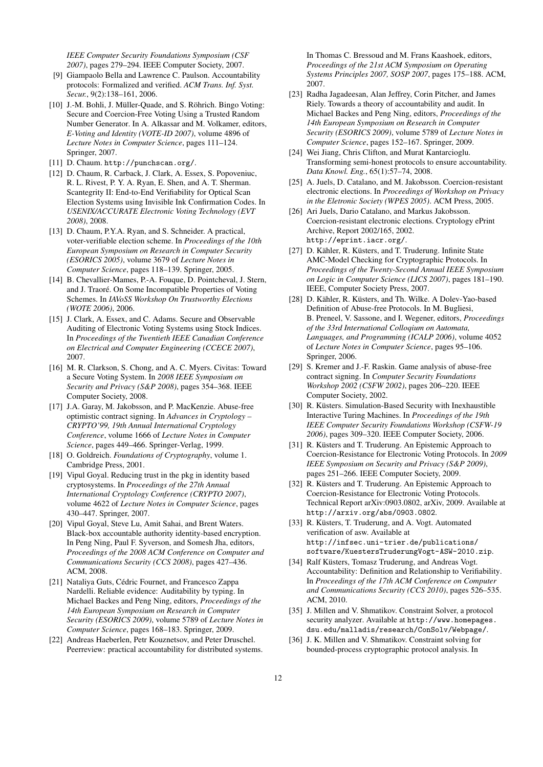*IEEE Computer Security Foundations Symposium (CSF 2007)*, pages 279–294. IEEE Computer Society, 2007.

- [9] Giampaolo Bella and Lawrence C. Paulson. Accountability protocols: Formalized and verified. *ACM Trans. Inf. Syst. Secur.*, 9(2):138–161, 2006.
- [10] J.-M. Bohli, J. Müller-Quade, and S. Röhrich. Bingo Voting: Secure and Coercion-Free Voting Using a Trusted Random Number Generator. In A. Alkassar and M. Volkamer, editors, *E-Voting and Identity (VOTE-ID 2007)*, volume 4896 of *Lecture Notes in Computer Science*, pages 111–124. Springer, 2007.
- [11] D. Chaum. http://punchscan.org/.
- [12] D. Chaum, R. Carback, J. Clark, A. Essex, S. Popoveniuc, R. L. Rivest, P. Y. A. Ryan, E. Shen, and A. T. Sherman. Scantegrity II: End-to-End Verifiability for Optical Scan Election Systems using Invisible Ink Confirmation Codes. In *USENIX/ACCURATE Electronic Voting Technology (EVT 2008)*, 2008.
- [13] D. Chaum, P.Y.A. Ryan, and S. Schneider. A practical, voter-verifiable election scheme. In *Proceedings of the 10th European Symposium on Research in Computer Security (ESORICS 2005)*, volume 3679 of *Lecture Notes in Computer Science*, pages 118–139. Springer, 2005.
- [14] B. Chevallier-Mames, P.-A. Fouque, D. Pointcheval, J. Stern, and J. Traoré. On Some Incompatible Properties of Voting Schemes. In *IAVoSS Workshop On Trustworthy Elections (WOTE 2006)*, 2006.
- [15] J. Clark, A. Essex, and C. Adams. Secure and Observable Auditing of Electronic Voting Systems using Stock Indices. In *Proceedings of the Twentieth IEEE Canadian Conference on Electrical and Computer Engineering (CCECE 2007)*, 2007.
- [16] M. R. Clarkson, S. Chong, and A. C. Myers. Civitas: Toward a Secure Voting System. In *2008 IEEE Symposium on Security and Privacy (S&P 2008)*, pages 354–368. IEEE Computer Society, 2008.
- [17] J.A. Garay, M. Jakobsson, and P. MacKenzie. Abuse-free optimistic contract signing. In *Advances in Cryptology – CRYPTO'99, 19th Annual International Cryptology Conference*, volume 1666 of *Lecture Notes in Computer Science*, pages 449–466. Springer-Verlag, 1999.
- [18] O. Goldreich. *Foundations of Cryptography*, volume 1. Cambridge Press, 2001.
- [19] Vipul Goyal. Reducing trust in the pkg in identity based cryptosystems. In *Proceedings of the 27th Annual International Cryptology Conference (CRYPTO 2007)*, volume 4622 of *Lecture Notes in Computer Science*, pages 430–447. Springer, 2007.
- [20] Vipul Goyal, Steve Lu, Amit Sahai, and Brent Waters. Black-box accountable authority identity-based encryption. In Peng Ning, Paul F. Syverson, and Somesh Jha, editors, *Proceedings of the 2008 ACM Conference on Computer and Communications Security (CCS 2008)*, pages 427–436. ACM, 2008.
- [21] Nataliya Guts, Cédric Fournet, and Francesco Zappa Nardelli. Reliable evidence: Auditability by typing. In Michael Backes and Peng Ning, editors, *Proceedings of the 14th European Symposium on Research in Computer Security (ESORICS 2009)*, volume 5789 of *Lecture Notes in Computer Science*, pages 168–183. Springer, 2009.
- [22] Andreas Haeberlen, Petr Kouznetsov, and Peter Druschel. Peerreview: practical accountability for distributed systems.

In Thomas C. Bressoud and M. Frans Kaashoek, editors, *Proceedings of the 21st ACM Symposium on Operating Systems Principles 2007, SOSP 2007*, pages 175–188. ACM, 2007.

- [23] Radha Jagadeesan, Alan Jeffrey, Corin Pitcher, and James Riely. Towards a theory of accountability and audit. In Michael Backes and Peng Ning, editors, *Proceedings of the 14th European Symposium on Research in Computer Security (ESORICS 2009)*, volume 5789 of *Lecture Notes in Computer Science*, pages 152–167. Springer, 2009.
- [24] Wei Jiang, Chris Clifton, and Murat Kantarcioglu. Transforming semi-honest protocols to ensure accountability. *Data Knowl. Eng.*, 65(1):57–74, 2008.
- [25] A. Juels, D. Catalano, and M. Jakobsson. Coercion-resistant electronic elections. In *Proceedings of Workshop on Privacy in the Eletronic Society (WPES 2005)*. ACM Press, 2005.
- [26] Ari Juels, Dario Catalano, and Markus Jakobsson. Coercion-resistant electronic elections. Cryptology ePrint Archive, Report 2002/165, 2002. http://eprint.iacr.org/.
- [27] D. Kähler, R. Küsters, and T. Truderung. Infinite State AMC-Model Checking for Cryptographic Protocols. In *Proceedings of the Twenty-Second Annual IEEE Symposium on Logic in Computer Science (LICS 2007)*, pages 181–190. IEEE, Computer Society Press, 2007.
- [28] D. Kähler, R. Küsters, and Th. Wilke. A Dolev-Yao-based Definition of Abuse-free Protocols. In M. Bugliesi, B. Preneel, V. Sassone, and I. Wegener, editors, *Proceedings of the 33rd International Colloqium on Automata, Languages, and Programming (ICALP 2006)*, volume 4052 of *Lecture Notes in Computer Science*, pages 95–106. Springer, 2006.
- [29] S. Kremer and J.-F. Raskin. Game analysis of abuse-free contract signing. In *Computer Security Foundations Workshop 2002 (CSFW 2002)*, pages 206–220. IEEE Computer Society, 2002.
- [30] R. Küsters. Simulation-Based Security with Inexhaustible Interactive Turing Machines. In *Proceedings of the 19th IEEE Computer Security Foundations Workshop (CSFW-19 2006)*, pages 309–320. IEEE Computer Society, 2006.
- [31] R. Küsters and T. Truderung. An Epistemic Approach to Coercion-Resistance for Electronic Voting Protocols. In *2009 IEEE Symposium on Security and Privacy (S&P 2009)*, pages 251–266. IEEE Computer Society, 2009.
- [32] R. Küsters and T. Truderung. An Epistemic Approach to Coercion-Resistance for Electronic Voting Protocols. Technical Report arXiv:0903.0802, arXiv, 2009. Available at http://arxiv.org/abs/0903.0802.
- [33] R. Küsters, T. Truderung, and A. Vogt. Automated verification of asw. Available at http://infsec.uni-trier.de/publications/ software/KuestersTruderungVogt-ASW-2010.zip.
- [34] Ralf Küsters, Tomasz Truderung, and Andreas Vogt. Accountability: Definition and Relationship to Verifiability. In *Proceedings of the 17th ACM Conference on Computer and Communications Security (CCS 2010)*, pages 526–535. ACM, 2010.
- [35] J. Millen and V. Shmatikov. Constraint Solver, a protocol security analyzer. Available at http://www.homepages. dsu.edu/malladis/research/ConSolv/Webpage/.
- [36] J. K. Millen and V. Shmatikov. Constraint solving for bounded-process cryptographic protocol analysis. In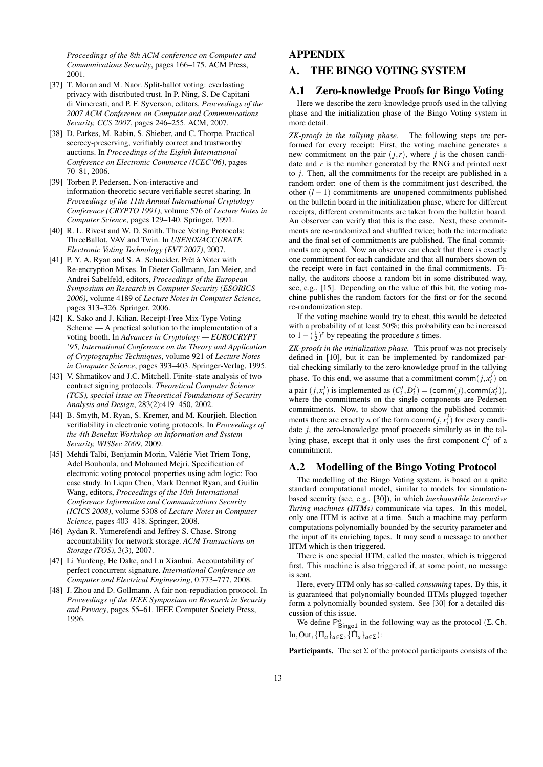*Proceedings of the 8th ACM conference on Computer and Communications Security*, pages 166–175. ACM Press, 2001.

- [37] T. Moran and M. Naor. Split-ballot voting: everlasting privacy with distributed trust. In P. Ning, S. De Capitani di Vimercati, and P. F. Syverson, editors, *Proceedings of the 2007 ACM Conference on Computer and Communications Security, CCS 2007*, pages 246–255. ACM, 2007.
- [38] D. Parkes, M. Rabin, S. Shieber, and C. Thorpe. Practical secrecy-preserving, verifiably correct and trustworthy auctions. In *Proceedings of the Eighth International Conference on Electronic Commerce (ICEC'06)*, pages 70–81, 2006.
- [39] Torben P. Pedersen. Non-interactive and information-theoretic secure verifiable secret sharing. In *Proceedings of the 11th Annual International Cryptology Conference (CRYPTO 1991)*, volume 576 of *Lecture Notes in Computer Science*, pages 129–140. Springer, 1991.
- [40] R. L. Rivest and W. D. Smith. Three Voting Protocols: ThreeBallot, VAV and Twin. In *USENIX/ACCURATE Electronic Voting Technology (EVT 2007)*, 2007.
- [41] P. Y. A. Ryan and S. A. Schneider. Prêt à Voter with Re-encryption Mixes. In Dieter Gollmann, Jan Meier, and Andrei Sabelfeld, editors, *Proceedings of the European Symposium on Research in Computer Security (ESORICS 2006)*, volume 4189 of *Lecture Notes in Computer Science*, pages 313–326. Springer, 2006.
- [42] K. Sako and J. Kilian. Receipt-Free Mix-Type Voting Scheme — A practical solution to the implementation of a voting booth. In *Advances in Cryptology — EUROCRYPT '95, International Conference on the Theory and Application of Cryptographic Techniques*, volume 921 of *Lecture Notes in Computer Science*, pages 393–403. Springer-Verlag, 1995.
- [43] V. Shmatikov and J.C. Mitchell. Finite-state analysis of two contract signing protocols. *Theoretical Computer Science (TCS), special issue on Theoretical Foundations of Security Analysis and Design*, 283(2):419–450, 2002.
- [44] B. Smyth, M. Ryan, S. Kremer, and M. Kourjieh. Election verifiability in electronic voting protocols. In *Proceedings of the 4th Benelux Workshop on Information and System Security, WISSec 2009*, 2009.
- [45] Mehdi Talbi, Benjamin Morin, Valérie Viet Triem Tong, Adel Bouhoula, and Mohamed Mejri. Specification of electronic voting protocol properties using adm logic: Foo case study. In Liqun Chen, Mark Dermot Ryan, and Guilin Wang, editors, *Proceedings of the 10th International Conference Information and Communications Security (ICICS 2008)*, volume 5308 of *Lecture Notes in Computer Science*, pages 403–418. Springer, 2008.
- [46] Aydan R. Yumerefendi and Jeffrey S. Chase. Strong accountability for network storage. *ACM Transactions on Storage (TOS)*, 3(3), 2007.
- [47] Li Yunfeng, He Dake, and Lu Xianhui. Accountability of perfect concurrent signature. *International Conference on Computer and Electrical Engineering*, 0:773–777, 2008.
- [48] J. Zhou and D. Gollmann. A fair non-repudiation protocol. In *Proceedings of the IEEE Symposium on Research in Security and Privacy*, pages 55–61. IEEE Computer Society Press, 1996.

# APPENDIX

# A. THE BINGO VOTING SYSTEM

### A.1 Zero-knowledge Proofs for Bingo Voting

Here we describe the zero-knowledge proofs used in the tallying phase and the initialization phase of the Bingo Voting system in more detail.

*ZK-proofs in the tallying phase.* The following steps are performed for every receipt: First, the voting machine generates a new commitment on the pair  $(j, r)$ , where *j* is the chosen candidate and *r* is the number generated by the RNG and printed next to *j*. Then, all the commitments for the receipt are published in a random order: one of them is the commitment just described, the other (*l* − 1) commitments are unopened commitments published on the bulletin board in the initialization phase, where for different receipts, different commitments are taken from the bulletin board. An observer can verify that this is the case. Next, these commitments are re-randomized and shuffled twice; both the intermediate and the final set of commitments are published. The final commitments are opened. Now an observer can check that there is exactly one commitment for each candidate and that all numbers shown on the receipt were in fact contained in the final commitments. Finally, the auditors choose a random bit in some distributed way, see, e.g., [15]. Depending on the value of this bit, the voting machine publishes the random factors for the first or for the second re-randomization step.

If the voting machine would try to cheat, this would be detected with a probability of at least 50%; this probability can be increased to  $1 - (\frac{1}{2})^s$  by repeating the procedure *s* times.

*ZK-proofs in the initialization phase.* This proof was not precisely defined in [10], but it can be implemented by randomized partial checking similarly to the zero-knowledge proof in the tallying phase. To this end, we assume that a commitment comm $(j, x_i^j)$  on a pair  $(j, x_i^j)$  is implemented as  $(C_i^j, D_i^j) = (\text{comm}(j), \text{comm}(x_i^j)),$ where the commitments on the single components are Pedersen commitments. Now, to show that among the published commitments there are exactly *n* of the form comm $(j, x_i^j)$  for every candidate *j*, the zero-knowledge proof proceeds similarly as in the tallying phase, except that it only uses the first component  $C_i^j$  of a commitment.

#### A.2 Modelling of the Bingo Voting Protocol

The modelling of the Bingo Voting system, is based on a quite standard computational model, similar to models for simulationbased security (see, e.g., [30]), in which *inexhaustible interactive Turing machines (IITMs)* communicate via tapes. In this model, only one IITM is active at a time. Such a machine may perform computations polynomially bounded by the security parameter and the input of its enriching tapes. It may send a message to another IITM which is then triggered.

There is one special IITM, called the master, which is triggered first. This machine is also triggered if, at some point, no message is sent.

Here, every IITM only has so-called *consuming* tapes. By this, it is guaranteed that polynomially bounded IITMs plugged together form a polynomially bounded system. See [30] for a detailed discussion of this issue.

We define  $P_{\text{Bingol}}^a$  in the following way as the protocol  $(\Sigma, \text{Ch}, \text{C})$ In, Out,  ${\{\Pi_a\}_{a \in \Sigma}, \{\hat{\Pi}_a\}_{a \in \Sigma}}$ :

**Participants.** The set  $\Sigma$  of the protocol participants consists of the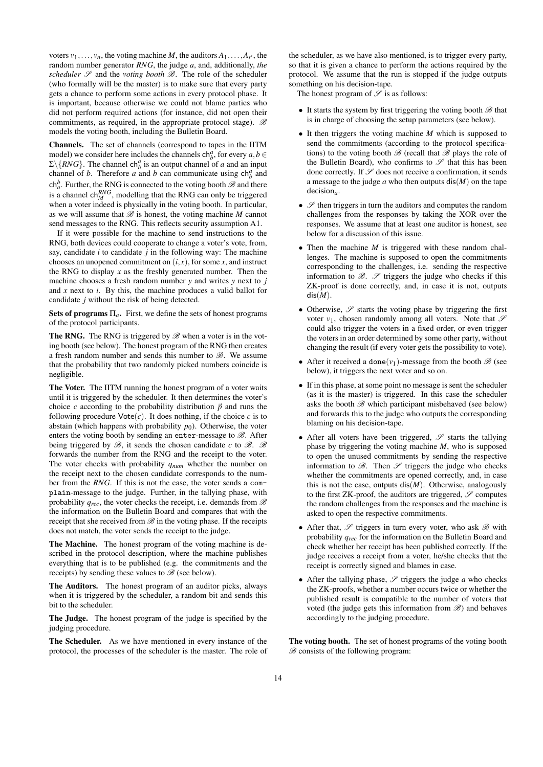voters  $v_1, \ldots, v_n$ , the voting machine *M*, the auditors  $A_1, \ldots, A_{r'}$ , the random number generator *RNG*, the judge *a*, and, additionally, *the scheduler*  $S$  and the *voting booth*  $B$ . The role of the scheduler (who formally will be the master) is to make sure that every party gets a chance to perform some actions in every protocol phase. It is important, because otherwise we could not blame parties who did not perform required actions (for instance, did not open their commitments, as required, in the appropriate protocol stage).  $\mathscr B$ models the voting booth, including the Bulletin Board.

Channels. The set of channels (correspond to tapes in the IITM model) we consider here includes the channels  $ch_b^a$ , for every  $a, b \in$  $\Sigma \backslash \{RNG\}$ . The channel ch<sub>*b*</sub></sub> is an output channel of *a* and an input channel of *b*. Therefore *a* and *b* can communicate using  $ch_b^a$  and  $ch_a^b$ . Further, the RNG is connected to the voting booth  $\mathscr B$  and there is a channel  $\text{ch}_{M}^{RNG}$ , modelling that the RNG can only be triggered when a voter indeed is physically in the voting booth. In particular, as we will assume that  $B$  is honest, the voting machine *M* cannot send messages to the RNG. This reflects security assumption A1.

If it were possible for the machine to send instructions to the RNG, both devices could cooperate to change a voter's vote, from, say, candidate *i* to candidate *j* in the following way: The machine chooses an unopened commitment on  $(i, x)$ , for some *x*, and instruct the RNG to display  $x$  as the freshly generated number. Then the machine chooses a fresh random number *y* and writes *y* next to *j* and *x* next to *i*. By this, the machine produces a valid ballot for candidate *j* without the risk of being detected.

**Sets of programs**  $\Pi_a$ . First, we define the sets of honest programs of the protocol participants.

The RNG. The RNG is triggered by  $\mathscr{B}$  when a voter is in the voting booth (see below). The honest program of the RNG then creates a fresh random number and sends this number to  $\mathscr{B}$ . We assume that the probability that two randomly picked numbers coincide is negligible.

The Voter. The IITM running the honest program of a voter waits until it is triggered by the scheduler. It then determines the voter's choice *c* according to the probability distribution  $\vec{p}$  and runs the following procedure  $\text{Vote}(c)$ . It does nothing, if the choice *c* is to abstain (which happens with probability  $p_0$ ). Otherwise, the voter enters the voting booth by sending an enter-message to  $\mathscr{B}$ . After being triggered by  $\mathscr{B}$ , it sends the chosen candidate *c* to  $\mathscr{B}$ .  $\mathscr{B}$ forwards the number from the RNG and the receipt to the voter. The voter checks with probability *qnum* whether the number on the receipt next to the chosen candidate corresponds to the number from the *RNG*. If this is not the case, the voter sends a complain-message to the judge. Further, in the tallying phase, with probability  $q_{rec}$ , the voter checks the receipt, i.e. demands from  $\mathscr B$ the information on the Bulletin Board and compares that with the receipt that she received from  $\mathscr B$  in the voting phase. If the receipts does not match, the voter sends the receipt to the judge.

The Machine. The honest program of the voting machine is described in the protocol description, where the machine publishes everything that is to be published (e.g. the commitments and the receipts) by sending these values to  $\mathscr{B}$  (see below).

The Auditors. The honest program of an auditor picks, always when it is triggered by the scheduler, a random bit and sends this bit to the scheduler.

The Judge. The honest program of the judge is specified by the judging procedure.

The Scheduler. As we have mentioned in every instance of the protocol, the processes of the scheduler is the master. The role of

the scheduler, as we have also mentioned, is to trigger every party, so that it is given a chance to perform the actions required by the protocol. We assume that the run is stopped if the judge outputs something on his decision-tape.

The honest program of  $\mathscr S$  is as follows:

- It starts the system by first triggering the voting booth  $\mathscr{B}$  that is in charge of choosing the setup parameters (see below).
- It then triggers the voting machine *M* which is supposed to send the commitments (according to the protocol specifications) to the voting booth  $\mathscr{B}$  (recall that  $\mathscr{B}$  plays the role of the Bulletin Board), who confirms to  $\mathscr S$  that this has been done correctly. If  $\mathscr S$  does not receive a confirmation, it sends a message to the judge  $a$  who then outputs  $dis(M)$  on the tape decision*a*.
- $\mathscr S$  then triggers in turn the auditors and computes the random challenges from the responses by taking the XOR over the responses. We assume that at least one auditor is honest, see below for a discussion of this issue.
- Then the machine *M* is triggered with these random challenges. The machine is supposed to open the commitments corresponding to the challenges, i.e. sending the respective information to  $\mathscr{B}$ .  $\mathscr{S}$  triggers the judge who checks if this ZK-proof is done correctly, and, in case it is not, outputs dis(*M*).
- Otherwise,  $\mathscr S$  starts the voting phase by triggering the first voter  $v_1$ , chosen randomly among all voters. Note that  $\mathscr S$ could also trigger the voters in a fixed order, or even trigger the voters in an order determined by some other party, without changing the result (if every voter gets the possibility to vote).
- After it received a done( $v_1$ )-message from the booth  $\mathscr{B}$  (see below), it triggers the next voter and so on.
- If in this phase, at some point no message is sent the scheduler (as it is the master) is triggered. In this case the scheduler asks the booth  $B$  which participant misbehaved (see below) and forwards this to the judge who outputs the corresponding blaming on his decision-tape.
- After all voters have been triggered,  $\mathscr S$  starts the tallying phase by triggering the voting machine *M*, who is supposed to open the unused commitments by sending the respective information to  $\mathscr{B}$ . Then  $\mathscr{S}$  triggers the judge who checks whether the commitments are opened correctly, and, in case this is not the case, outputs  $dis(M)$ . Otherwise, analogously to the first ZK-proof, the auditors are triggered,  $\mathscr S$  computes the random challenges from the responses and the machine is asked to open the respective commitments.
- After that,  $\mathscr S$  triggers in turn every voter, who ask  $\mathscr B$  with probability *qrec* for the information on the Bulletin Board and check whether her receipt has been published correctly. If the judge receives a receipt from a voter, he/she checks that the receipt is correctly signed and blames in case.
- After the tallying phase,  $\mathscr S$  triggers the judge  $a$  who checks the ZK-proofs, whether a number occurs twice or whether the published result is compatible to the number of voters that voted (the judge gets this information from  $\mathscr{B}$ ) and behaves accordingly to the judging procedure.

The voting booth. The set of honest programs of the voting booth  $B$  consists of the following program: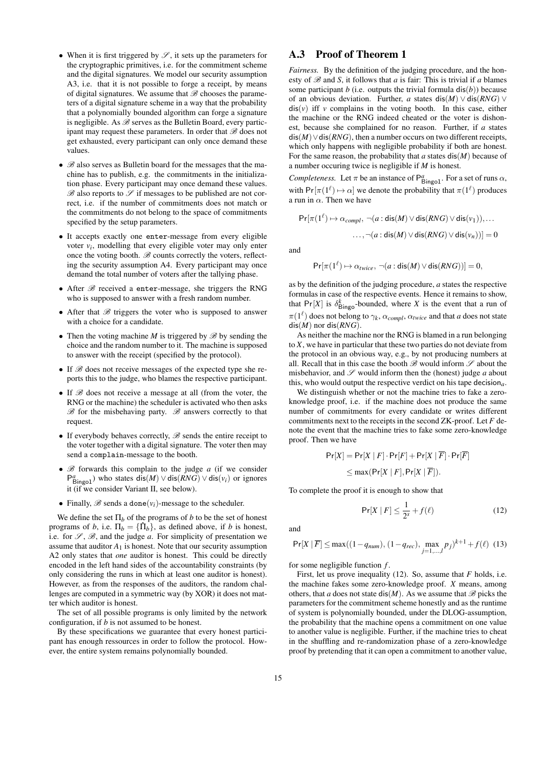- When it is first triggered by  $\mathscr{S}$ , it sets up the parameters for the cryptographic primitives, i.e. for the commitment scheme and the digital signatures. We model our security assumption A3, i.e. that it is not possible to forge a receipt, by means of digital signatures. We assume that  $B$  chooses the parameters of a digital signature scheme in a way that the probability that a polynomially bounded algorithm can forge a signature is negligible. As  $\mathscr B$  serves as the Bulletin Board, every participant may request these parameters. In order that  $\mathscr{B}$  does not get exhausted, every participant can only once demand these values.
- $\mathscr{B}$  also serves as Bulletin board for the messages that the machine has to publish, e.g. the commitments in the initialization phase. Every participant may once demand these values.  $\mathscr B$  also reports to  $\mathscr S$  if messages to be published are not correct, i.e. if the number of commitments does not match or the commitments do not belong to the space of commitments specified by the setup parameters.
- It accepts exactly one enter-message from every eligible voter  $v_i$ , modelling that every eligible voter may only enter once the voting booth.  $\mathscr{B}$  counts correctly the voters, reflecting the security assumption A4. Every participant may once demand the total number of voters after the tallying phase.
- After  $\mathscr B$  received a enter-message, she triggers the RNG who is supposed to answer with a fresh random number.
- After that  $B$  triggers the voter who is supposed to answer with a choice for a candidate.
- Then the voting machine *M* is triggered by  $\mathscr{B}$  by sending the choice and the random number to it. The machine is supposed to answer with the receipt (specified by the protocol).
- If  $\mathscr B$  does not receive messages of the expected type she reports this to the judge, who blames the respective participant.
- If  $B$  does not receive a message at all (from the voter, the RNG or the machine) the scheduler is activated who then asks  $\mathscr{B}$  for the misbehaving party.  $\mathscr{B}$  answers correctly to that request.
- If everybody behaves correctly,  $\mathscr B$  sends the entire receipt to the voter together with a digital signature. The voter then may send a complain-message to the booth.
- $\mathscr{B}$  forwards this complain to the judge *a* (if we consider  $P_{\text{Bingo1}}^{a}$ ) who states dis(*M*)  $\vee$  dis(*RNG*)  $\vee$  dis( $v_i$ ) or ignores it (if we consider Variant II, see below).
- Finally,  $\mathscr B$  sends a done( $v_i$ )-message to the scheduler.

We define the set  $\Pi_b$  of the programs of *b* to be the set of honest programs of *b*, i.e.  $\Pi_b = {\hat{\Pi}_b}$ , as defined above, if *b* is honest, i.e. for  $\mathscr{S}, \mathscr{B}$ , and the judge *a*. For simplicity of presentation we assume that auditor  $A_1$  is honest. Note that our security assumption A2 only states that *one* auditor is honest. This could be directly encoded in the left hand sides of the accountability constraints (by only considering the runs in which at least one auditor is honest). However, as from the responses of the auditors, the random challenges are computed in a symmetric way (by XOR) it does not matter which auditor is honest.

The set of all possible programs is only limited by the network configuration, if *b* is not assumed to be honest.

By these specifications we guarantee that every honest participant has enough ressources in order to follow the protocol. However, the entire system remains polynomially bounded.

# A.3 Proof of Theorem 1

*Fairness.* By the definition of the judging procedure, and the honesty of  $\mathscr{B}$  and *S*, it follows that *a* is fair: This is trivial if *a* blames some participant *b* (i.e. outputs the trivial formula  $dis(b)$ ) because of an obvious deviation. Further, *a* states dis(*M*) ∨ dis(*RNG*) ∨  $dis(v)$  iff *v* complains in the voting booth. In this case, either the machine or the RNG indeed cheated or the voter is dishonest, because she complained for no reason. Further, if *a* states dis(*M*)∨dis(*RNG*), then a number occurs on two different receipts, which only happens with negligible probability if both are honest. For the same reason, the probability that *a* states dis(*M*) because of a number occuring twice is negligible if *M* is honest.

*Completeness.* Let  $\pi$  be an instance of  $P_{\text{Bingol}}^a$ . For a set of runs  $\alpha$ , with  $Pr[\pi(1^{\ell}) \mapsto \alpha]$  we denote the probability that  $\pi(1^{\ell})$  produces a run in  $\alpha$ . Then we have

$$
\Pr[\pi(1^{\ell}) \mapsto \alpha_{compl}, \neg(a : \text{dis}(M) \lor \text{dis}(RNG) \lor \text{dis}(v_1)), \dots
$$

$$
\dots, \neg(a : \text{dis}(M) \lor \text{dis}(RNG) \lor \text{dis}(v_n))] = 0
$$

and

$$
\Pr[\pi(1^{\ell}) \mapsto \alpha_{twice}, \neg(a : \text{dis}(M) \lor \text{dis}(RNG))] = 0,
$$

as by the definition of the judging procedure, *a* states the respective formulas in case of the respective events. Hence it remains to show, that  $Pr[X]$  is  $\delta_{\text{Bingo}}^k$ -bounded, where *X* is the event that a run of  $\pi(1^{\ell})$  does not belong to  $\gamma_k$ ,  $\alpha_{compl}$ ,  $\alpha_{twice}$  and that *a* does not state dis(*M*) nor dis(*RNG*).

As neither the machine nor the RNG is blamed in a run belonging to *X*, we have in particular that these two parties do not deviate from the protocol in an obvious way, e.g., by not producing numbers at all. Recall that in this case the booth  $\mathscr{B}$  would inform  $\mathscr{S}$  about the misbehavior, and  $\mathscr S$  would inform then the (honest) judge *a* about this, who would output the respective verdict on his tape decision*a*.

We distinguish whether or not the machine tries to fake a zeroknowledge proof, i.e. if the machine does not produce the same number of commitments for every candidate or writes different commitments next to the receipts in the second ZK-proof. Let *F* denote the event that the machine tries to fake some zero-knowledge proof. Then we have

$$
Pr[X] = Pr[X | F] \cdot Pr[F] + Pr[X | \overline{F}] \cdot Pr[\overline{F}]
$$
  
 
$$
\leq max(Pr[X | F], Pr[X | \overline{F}]).
$$

To complete the proof it is enough to show that

$$
\Pr[X \mid F] \le \frac{1}{2^s} + f(\ell) \tag{12}
$$

and

$$
\Pr[X \mid \overline{F}] \le \max((1 - q_{num}), (1 - q_{rec}), \max_{j=1,\dots,l} p_j)^{k+1} + f(\ell) \tag{13}
$$

for some negligible function *f* .

First, let us prove inequality (12). So, assume that *F* holds, i.e. the machine fakes some zero-knowledge proof. *X* means, among others, that *a* does not state dis(*M*). As we assume that  $\mathcal{B}$  picks the parameters for the commitment scheme honestly and as the runtime of system is polynomially bounded, under the DLOG-assumption, the probability that the machine opens a commitment on one value to another value is negligible. Further, if the machine tries to cheat in the shuffling and re-randomization phase of a zero-knowledge proof by pretending that it can open a commitment to another value,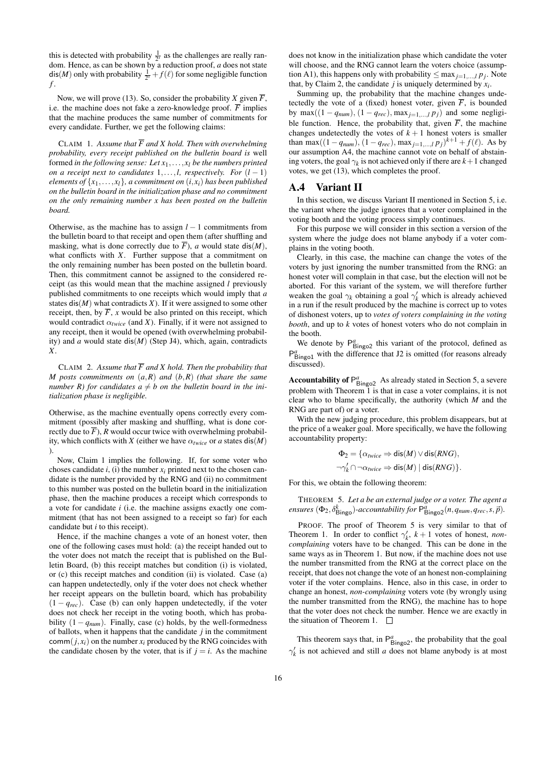this is detected with probability  $\frac{1}{2^s}$  as the challenges are really random. Hence, as can be shown by a reduction proof, *a* does not state  $\textsf{dis}(M)$  only with probability  $\frac{1}{2^s} + f(\ell)$  for some negligible function *f* .

Now, we will prove (13). So, consider the probability *X* given  $\overline{F}$ , i.e. the machine does not fake a zero-knowledge proof.  $\overline{F}$  implies that the machine produces the same number of commitments for every candidate. Further, we get the following claims:

CLAIM 1. Assume that  $\overline{F}$  and X hold. Then with overwhelming *probability, every receipt published on the bulletin board is* well formed *in the following sense:* Let  $x_1, \ldots, x_l$  be the numbers printed *on a receipt next to candidates*  $1, \ldots, l$ , *respectively. For*  $(l - 1)$ *elements of*  $\{x_1, \ldots, x_l\}$ *, a commitment on*  $(i, x_i)$  *has been published on the bulletin board in the initialization phase and no commitment on the only remaining number x has been posted on the bulletin board.*

Otherwise, as the machine has to assign *l* − 1 commitments from the bulletin board to that receipt and open them (after shuffling and masking, what is done correctly due to  $\overline{F}$ ), *a* would state dis(*M*), what conflicts with *X*. Further suppose that a commitment on the only remaining number has been posted on the bulletin board. Then, this commitment cannot be assigned to the considered receipt (as this would mean that the machine assigned *l* previously published commitments to one receipts which would imply that *a* states  $dis(M)$  what contradicts  $X$ ). If it were assigned to some other receipt, then, by  $\overline{F}$ , *x* would be also printed on this receipt, which would contradict  $\alpha_{twice}$  (and *X*). Finally, if it were not assigned to any receipt, then it would be opened (with overwhelming probability) and *a* would state dis(*M*) (Step J4), which, again, contradicts *X*.

CLAIM 2. Assume that  $\overline{F}$  and X hold. Then the probability that *M posts commitments on* (*a*,*R*) *and* (*b*,*R*) *(that share the same number R)* for candidates  $a \neq b$  on the bulletin board in the ini*tialization phase is negligible.*

Otherwise, as the machine eventually opens correctly every commitment (possibly after masking and shuffling, what is done correctly due to  $\overline{F}$ ), *R* would occur twice with overwhelming probability, which conflicts with *X* (either we have  $\alpha_{twice}$  or *a* states dis(*M*) ).

Now, Claim 1 implies the following. If, for some voter who choses candidate  $i$ , (i) the number  $x_i$  printed next to the chosen candidate is the number provided by the RNG and (ii) no commitment to this number was posted on the bulletin board in the initialization phase, then the machine produces a receipt which corresponds to a vote for candidate *i* (i.e. the machine assigns exactly one commitment (that has not been assigned to a receipt so far) for each candidate but *i* to this receipt).

Hence, if the machine changes a vote of an honest voter, then one of the following cases must hold: (a) the receipt handed out to the voter does not match the receipt that is published on the Bulletin Board, (b) this receipt matches but condition (i) is violated, or (c) this receipt matches and condition (ii) is violated. Case (a) can happen undetectedly, only if the voter does not check whether her receipt appears on the bulletin board, which has probability  $(1 - q_{rec})$ . Case (b) can only happen undetectedly, if the voter does not check her receipt in the voting booth, which has probability  $(1 - q_{num})$ . Finally, case (c) holds, by the well-formedness of ballots, when it happens that the candidate *j* in the commitment comm $(j, x_i)$  on the number  $x_i$  produced by the RNG coincides with the candidate chosen by the voter, that is if  $j = i$ . As the machine

does not know in the initialization phase which candidate the voter will choose, and the RNG cannot learn the voters choice (assumption A1), this happens only with probability  $\leq$  max<sub>*j*=1,...,*l pj*. Note</sub> that, by Claim 2, the candidate  $j$  is uniquely determined by  $x_i$ .

Summing up, the probability that the machine changes undetectedly the vote of a (fixed) honest voter, given  $\overline{F}$ , is bounded by max $((1 - q_{num}), (1 - q_{rec}), \max_{j=1,\dots,l} p_j)$  and some negligible function. Hence, the probability that, given  $\overline{F}$ , the machine changes undetectedly the votes of  $k + 1$  honest voters is smaller than max $((1 - q_{num}), (1 - q_{rec}), \max_{j=1,\dots,l} p_j)^{k+1} + f(\ell)$ . As by our assumption A4, the machine cannot vote on behalf of abstaining voters, the goal  $\gamma_k$  is not achieved only if there are  $k+1$  changed votes, we get (13), which completes the proof.

#### A.4 Variant II

In this section, we discuss Variant II mentioned in Section 5, i.e. the variant where the judge ignores that a voter complained in the voting booth and the voting process simply continues.

For this purpose we will consider in this section a version of the system where the judge does not blame anybody if a voter complains in the voting booth.

Clearly, in this case, the machine can change the votes of the voters by just ignoring the number transmitted from the RNG: an honest voter will complain in that case, but the election will not be aborted. For this variant of the system, we will therefore further weaken the goal  $\gamma_k$  obtaining a goal  $\gamma'_k$  which is already achieved in a run if the result produced by the machine is correct up to votes of dishonest voters, up to *votes of voters complaining in the voting booth*, and up to *k* votes of honest voters who do not complain in the booth.

We denote by  $P_{\text{Bingo2}}^a$  this variant of the protocol, defined as P<sub>Bingo1</sub> with the difference that J2 is omitted (for reasons already discussed).

**Accountability of**  $P_{\text{Bingo2}}^a$  As already stated in Section 5, a severe problem with Theorem 1 is that in case a voter complains, it is not clear who to blame specifically, the authority (which *M* and the RNG are part of) or a voter.

With the new judging procedure, this problem disappears, but at the price of a weaker goal. More specifically, we have the following accountability property:

$$
\Phi_2 = \{ \alpha_{twice} \Rightarrow \text{dis}(M) \lor \text{dis}(RNG), \n\neg \gamma'_k \cap \neg \alpha_{twice} \Rightarrow \text{dis}(M) \mid \text{dis}(RNG) \}.
$$

For this, we obtain the following theorem:

THEOREM 5. *Let a be an external judge or a voter. The agent a ensures*  $(\Phi_2, \delta_{\text{Bingo}}^k)$ -accountability for  $\mathsf{P}_{\text{Bingo2}}^a(n, q_{num}, q_{rec}, s, \vec{p}).$ 

PROOF. The proof of Theorem 5 is very similar to that of Theorem 1. In order to conflict  $\gamma_k^{\prime}$ ,  $k+1$  votes of honest, *noncomplaining* voters have to be changed. This can be done in the same ways as in Theorem 1. But now, if the machine does not use the number transmitted from the RNG at the correct place on the receipt, that does not change the vote of an honest non-complaining voter if the voter complains. Hence, also in this case, in order to change an honest, *non-complaining* voters vote (by wrongly using the number transmitted from the RNG), the machine has to hope that the voter does not check the number. Hence we are exactly in the situation of Theorem 1.  $\Box$ 

This theorem says that, in  $P_{\text{Bingo2}}^a$ , the probability that the goal  $\gamma_k'$  is not achieved and still *a* does not blame anybody is at most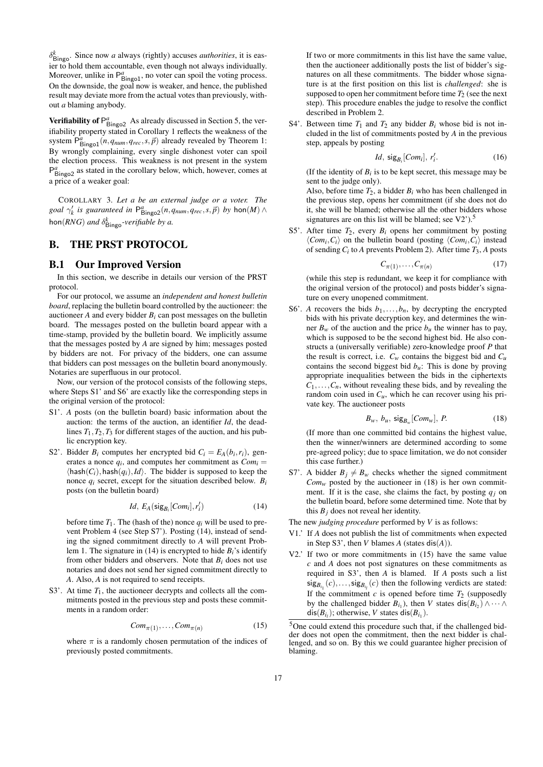$\delta_{\text{Bingo}}^k$ . Since now *a* always (rightly) accuses *authorities*, it is easier to hold them accountable, even though not always individually. Moreover, unlike in  $P_{\text{Bingo1}}^a$ , no voter can spoil the voting process. On the downside, the goal now is weaker, and hence, the published result may deviate more from the actual votes than previously, without *a* blaming anybody.

**Verifiability of**  $P_{\text{Bingo2}}^a$  As already discussed in Section 5, the verifiability property stated in Corollary 1 reflects the weakness of the system  $P_{\text{Bingol}}^a(n, q_{\text{num}}, q_{\text{rec}}, s, \vec{p})$  already revealed by Theorem 1: By wrongly complaining, every single dishonest voter can spoil the election process. This weakness is not present in the system P<sub>Bingo2</sub> as stated in the corollary below, which, however, comes at a price of a weaker goal:

COROLLARY 3. *Let a be an external judge or a voter. The goal*  $\gamma'_k$  *is guaranteed in*  $P^a_{\text{Bingo2}}(n, q_{num}, q_{rec}, s, \vec{p})$  *by* hon $(M) \wedge$ hon $(RNG)$  *and*  $\delta^k_{\text{Bingo}}$ *-verifiable by a.* 

# B. THE PRST PROTOCOL

#### B.1 Our Improved Version

In this section, we describe in details our version of the PRST protocol.

For our protocol, we assume an *independent and honest bulletin board*, replacing the bulletin board controlled by the auctioneer: the auctioneer  $A$  and every bidder  $B_i$  can post messages on the bulletin board. The messages posted on the bulletin board appear with a time-stamp, provided by the bulletin board. We implicitly assume that the messages posted by *A* are signed by him; messages posted by bidders are not. For privacy of the bidders, one can assume that bidders can post messages on the bulletin board anonymously. Notaries are superfluous in our protocol.

Now, our version of the protocol consists of the following steps, where Steps S1' and S6' are exactly like the corresponding steps in the original version of the protocol:

- S1'. *A* posts (on the bulletin board) basic information about the auction: the terms of the auction, an identifier *Id*, the deadlines  $T_1, T_2, T_3$  for different stages of the auction, and his public encryption key.
- S2'. Bidder  $B_i$  computes her encrypted bid  $C_i = E_A(b_i, r_i)$ , generates a nonce  $q_i$ , and computes her commitment as  $Com_i =$  $\langle$ hash $(C_i)$ , hash $(q_i)$ , *Id* $\rangle$ . The bidder is supposed to keep the nonce  $q_i$  secret, except for the situation described below.  $B_i$ posts (on the bulletin board)

$$
Id, E_A(\mathsf{sig}_{B_i}[Com_i], r'_i) \tag{14}
$$

before time  $T_1$ . The (hash of the) nonce  $q_i$  will be used to prevent Problem 4 (see Step S7'). Posting (14), instead of sending the signed commitment directly to *A* will prevent Problem 1. The signature in (14) is encrypted to hide  $B_i$ 's identify from other bidders and observers. Note that *Bi* does not use notaries and does not send her signed commitment directly to *A*. Also, *A* is not required to send receipts.

S3'. At time  $T_1$ , the auctioneer decrypts and collects all the commitments posted in the previous step and posts these commitments in a random order:

$$
Com_{\pi(1)}, \dots, Com_{\pi(n)} \tag{15}
$$

where  $\pi$  is a randomly chosen permutation of the indices of previously posted commitments.

If two or more commitments in this list have the same value, then the auctioneer additionally posts the list of bidder's signatures on all these commitments. The bidder whose signature is at the first position on this list is *challenged*: she is supposed to open her commitment before time  $T_2$  (see the next step). This procedure enables the judge to resolve the conflict described in Problem 2.

S4'. Between time  $T_1$  and  $T_2$  any bidder  $B_i$  whose bid is not included in the list of commitments posted by *A* in the previous step, appeals by posting

$$
Id, \ \mathsf{sig}_{B_i}[Com_i], \ r'_i. \tag{16}
$$

(If the identity of  $B_i$  is to be kept secret, this message may be sent to the judge only).

Also, before time  $T_2$ , a bidder  $B_i$  who has been challenged in the previous step, opens her commitment (if she does not do it, she will be blamed; otherwise all the other bidders whose signatures are on this list will be blamed; see  $V2$ ).<sup>5</sup>

S5'. After time  $T_2$ , every  $B_i$  opens her commitment by posting  $\langle Com_i, C_i \rangle$  on the bulletin board (posting  $\langle Com_i, C_i \rangle$  instead of sending *Ci* to *A* prevents Problem 2). After time *T*3, *A* posts

$$
C_{\pi(1)}, \dots, C_{\pi(n)} \tag{17}
$$

(while this step is redundant, we keep it for compliance with the original version of the protocol) and posts bidder's signature on every unopened commitment.

S6'. *A* recovers the bids  $b_1, \ldots, b_n$ , by decrypting the encrypted bids with his private decryption key, and determines the winner  $B_w$  of the auction and the price  $b_u$  the winner has to pay, which is supposed to be the second highest bid. He also constructs a (universally verifiable) zero-knowledge proof *P* that the result is correct, i.e.  $C_w$  contains the biggest bid and  $C_u$ contains the second biggest bid  $b<sub>u</sub>$ : This is done by proving appropriate inequalities between the bids in the ciphertexts  $C_1, \ldots, C_n$ , without revealing these bids, and by revealing the random coin used in  $C_u$ , which he can recover using his private key. The auctioneer posts

$$
B_w, b_u, \text{sig}_{B_w}[Com_w], P. \tag{18}
$$

(If more than one committed bid contains the highest value, then the winner/winners are determined according to some pre-agreed policy; due to space limitation, we do not consider this case further.)

S7'. A bidder  $B_j \neq B_w$  checks whether the signed commitment  $Com<sub>w</sub>$  posted by the auctioneer in (18) is her own commitment. If it is the case, she claims the fact, by posting  $q_i$  on the bulletin board, before some determined time. Note that by this  $B_i$  does not reveal her identity.

The new *judging procedure* performed by *V* is as follows:

- V1.' If *A* does not publish the list of commitments when expected in Step S3', then  $V$  blames  $A$  (states dis $(A)$ ).
- V2.' If two or more commitments in (15) have the same value *c* and *A* does not post signatures on these commitments as required in S3', then *A* is blamed. If *A* posts such a list  $\text{sig}_{B_{i_1}}(c), \ldots, \text{sig}_{B_{i_l}}(c)$  then the following verdicts are stated: If the commitment *c* is opened before time  $T_2$  (supposedly by the challenged bidder  $B_{i_1}$ ), then *V* states  $dis(B_{i_2}) \wedge \cdots \wedge$  $dis(B_{i_l})$ ; otherwise, *V* states  $dis(B_{i_l})$ .

<sup>5</sup>One could extend this procedure such that, if the challenged bidder does not open the commitment, then the next bidder is challenged, and so on. By this we could guarantee higher precision of blaming.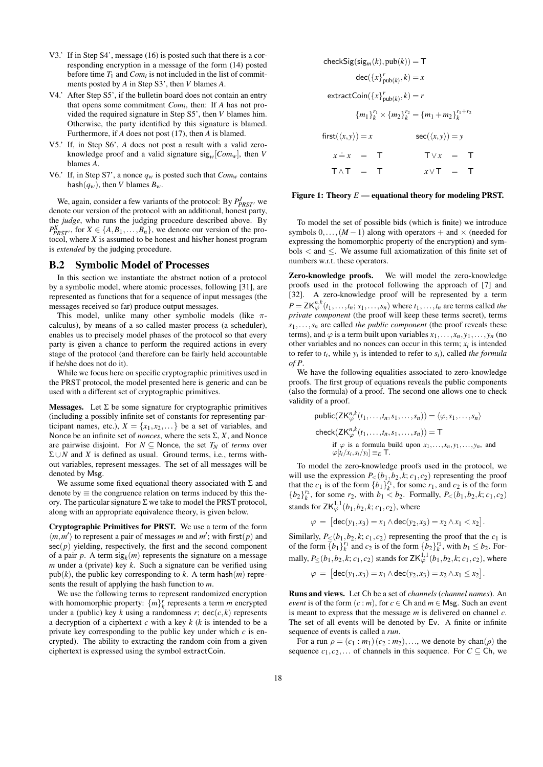- V3.' If in Step S4', message (16) is posted such that there is a corresponding encryption in a message of the form (14) posted before time  $T_1$  and  $Com_i$  is not included in the list of commitments posted by *A* in Step S3', then *V* blames *A*.
- V4.' After Step S5', if the bulletin board does not contain an entry that opens some commitment *Comi* , then: If *A* has not provided the required signature in Step S5', then *V* blames him. Otherwise, the party identified by this signature is blamed. Furthermore, if *A* does not post (17), then *A* is blamed.
- V5.' If, in Step S6', *A* does not post a result with a valid zeroknowledge proof and a valid signature  $sig_w[Com_w]$ , then *V* blames *A*.
- V6.' If, in Step S7', a nonce  $q_w$  is posted such that  $Com_w$  contains hash $(q_w)$ , then *V* blames  $B_w$ .

We, again, consider a few variants of the protocol: By  $P_{PRT}^J$  we denote our version of the protocol with an additional, honest party, the *judge*, who runs the judging procedure described above. By  $P_{PRST}^X$ , for  $X \in \{A, B_1, \ldots, B_n\}$ , we denote our version of the protocol, where *X* is assumed to be honest and his/her honest program is *extended* by the judging procedure.

#### B.2 Symbolic Model of Processes

In this section we instantiate the abstract notion of a protocol by a symbolic model, where atomic processes, following [31], are represented as functions that for a sequence of input messages (the messages received so far) produce output messages.

This model, unlike many other symbolic models (like  $\pi$ calculus), by means of a so called master process (a scheduler), enables us to precisely model phases of the protocol so that every party is given a chance to perform the required actions in every stage of the protocol (and therefore can be fairly held accountable if he/she does not do it).

While we focus here on specific cryptographic primitives used in the PRST protocol, the model presented here is generic and can be used with a different set of cryptographic primitives.

Messages. Let  $\Sigma$  be some signature for cryptographic primitives (including a possibly infinite set of constants for representing participant names, etc.),  $X = \{x_1, x_2, \dots\}$  be a set of variables, and Nonce be an infinite set of *nonces*, where the sets Σ, *X*, and Nonce are pairwise disjoint. For  $N \subseteq$  Nonce, the set  $T_N$  of *terms* over  $\Sigma \cup N$  and *X* is defined as usual. Ground terms, i.e., terms without variables, represent messages. The set of all messages will be denoted by Msg.

We assume some fixed equational theory associated with  $\Sigma$  and denote by  $\equiv$  the congruence relation on terms induced by this theory. The particular signature  $\Sigma$  we take to model the PRST protocol, along with an appropriate equivalence theory, is given below.

Cryptographic Primitives for PRST. We use a term of the form  $\langle m, m' \rangle$  to represent a pair of messages *m* and *m'*; with first(*p*) and  $sec(p)$  yielding, respectively, the first and the second component of a pair  $p$ . A term  $sig_k(m)$  represents the signature on a message *m* under a (private) key *k*. Such a signature can be verified using  $pub(k)$ , the public key corresponding to *k*. A term hash $(m)$  represents the result of applying the hash function to *m*.

We use the following terms to represent randomized encryption with homomorphic property:  $\{m\}_k^r$  represents a term *m* encrypted under a (public) key *k* using a randomness *r*;  $\text{dec}(c, k)$  represents a decryption of a ciphertext *c* with a key *k* (*k* is intended to be a private key corresponding to the public key under which *c* is encrypted). The ability to extracting the random coin from a given ciphertext is expressed using the symbol extractCoin.

$$
\begin{aligned}\n\text{checkSig}(\text{sig}_m(k), \text{pub}(k)) &= \mathsf{T} \\
& \text{dec}(\{x\}_{\text{pub}(k)}, k) = x \\
& \text{extractCoin}(\{x\}_{\text{pub}(k)}, k) = r \\
& \{m_1\}_k^{r_1} \times \{m_2\}_k^{r_2} = \{m_1 + m_2\}_k^{r_1 + r_2} \\
\text{first}(\langle x, y \rangle) &= x \\
& \text{sec}(\langle x, y \rangle) = y \\
& \text{sec}(\langle x, y \rangle) = y \\
& \text{arc}(\langle x, y \rangle) = y \\
& \text{arc}(\langle x, y \rangle) = y \\
& \text{arc}(\langle x, y \rangle) = y \\
& \text{arc}(\langle x, y \rangle) = y \\
& \text{arc}(\langle x, y \rangle) = y \\
& \text{arc}(\langle x, y \rangle) = y \\
& \text{arc}(\langle x, y \rangle) = y \\
& \text{arc}(\langle x, y \rangle) = y \\
& \text{arc}(\langle x, y \rangle) = y \\
& \text{arc}(\langle x, y \rangle) = y \\
& \text{arc}(\langle x, y \rangle) = y \\
& \text{arc}(\langle x, y \rangle) = y \\
& \text{arc}(\langle x, y \rangle) = y \\
& \text{arc}(\langle x, y \rangle) = y \\
& \text{arc}(\langle x, y \rangle) = y \\
& \text{arc}(\langle x, y \rangle) = y \\
& \text{arc}(\langle x, y \rangle) = y \\
& \text{arc}(\langle x, y \rangle) = y \\
& \text{arc}(\langle x, y \rangle) = y \\
& \text{arc}(\langle x, y \rangle) = y \\
& \text{arc}(\langle x, y \rangle) = y \\
& \text{arc}(\langle x, y \rangle) = y \\
& \text{arc}(\langle x, y \rangle) = y \\
& \text{arc}(\langle x, y \rangle) = y \\
& \text{arc}(\langle x, y \rangle) = y \\
& \text{arc}(\langle x, y \rangle) = y \\
& \text{arc}(\langle x, y \rangle) = y \\
& \text{arc}(\langle x, y \rangle) = y \\
& \text{arc}(\langle x, y \rangle) = y \\
& \text{arc}(\langle x, y \rangle) = y \\
& \text{arc}(\langle x, y \rangle) = y \\
& \text{arc}(\
$$

#### Figure 1: Theory  $E$  — equational theory for modeling PRST.

To model the set of possible bids (which is finite) we introduce symbols  $0, \ldots, (M-1)$  along with operators + and  $\times$  (needed for expressing the homomorphic property of the encryption) and symbols  $\lt$  and  $\leq$ . We assume full axiomatization of this finite set of numbers w.r.t. these operators.

Zero-knowledge proofs. We will model the zero-knowledge proofs used in the protocol following the approach of [7] and [32]. A zero-knowledge proof will be represented by a term  $P = \mathsf{ZK}_{\varphi}^{n,k}(t_1,\ldots,t_n; s_1,\ldots,s_n)$  where  $t_1,\ldots,t_n$  are terms called *the private component* (the proof will keep these terms secret), terms  $s_1, \ldots, s_n$  are called *the public component* (the proof reveals these terms), and  $\varphi$  is a term built upon variables  $x_1, \ldots, x_n, y_1, \ldots, y_n$  (no other variables and no nonces can occur in this term;  $x_i$  is intended to refer to  $t_i$ , while  $y_i$  is intended to refer to  $s_i$ ), called *the formula of P*.

We have the following equalities associated to zero-knowledge proofs. The first group of equations reveals the public components (also the formula) of a proof. The second one allows one to check validity of a proof.

$$
\text{public}(\mathsf{ZK}_{\varphi}^{n,k}(t_1,\ldots,t_n,s_1,\ldots,s_n)) = \langle \varphi, s_1,\ldots,s_n \rangle
$$
\n
$$
\text{check}(\mathsf{ZK}_{\varphi}^{n,k}(t_1,\ldots,t_n,s_1,\ldots,s_n)) = \mathsf{T}
$$
\n
$$
\text{if } \varphi \text{ is a formula build upon } x_1,\ldots,x_n,y_1,\ldots,y_n, \text{ and }
$$
\n
$$
\varphi[t_i/x_i,s_i/y_i] \equiv_E \mathsf{T}.
$$

To model the zero-knowledge proofs used in the protocol, we will use the expression  $P_<(b_1,b_2,k;c_1,c_2)$  representing the proof that the  $c_1$  is of the form  $\{b_1\}_{k}^{r_1}$ , for some  $r_1$ , and  $c_2$  is of the form  ${b_2}_{k}^{r_2}$ , for some  $r_2$ , with  $b_1 < b_2$ . Formally,  $P_<(b_1, b_2, k; c_1, c_2)$ stands for  $ZK^{1,1}_{\varphi}(b_1, b_2, k; c_1, c_2)$ , where

$$
\varphi = [ \text{dec}(y_1, x_3) = x_1 \wedge \text{dec}(y_2, x_3) = x_2 \wedge x_1 < x_2 ].
$$

Similarly,  $P_{\leq}(b_1, b_2, k; c_1, c_2)$  representing the proof that the  $c_1$  is of the form  $\overline{\{b_1\}_k^{r_1}}$  and  $c_2$  is of the form  $\overline{\{b_2\}_k^{r_2}}$ , with  $b_1 \leq b_2$ . Formally,  $P_{\leq}(b_1, b_2, k; c_1, c_2)$  stands for  $\mathsf{ZK}_{\varphi}^{1,1}(b_1, b_2, k; c_1, c_2)$ , where

$$
\varphi = [dec(y_1, x_3) = x_1 \wedge dec(y_2, x_3) = x_2 \wedge x_1 \le x_2].
$$

Runs and views. Let Ch be a set of *channels* (*channel names*). An *event* is of the form  $(c : m)$ , for  $c \in \mathbb{C}$  h and  $m \in \mathbb{M}$  sg. Such an event is meant to express that the message *m* is delivered on channel *c*. The set of all events will be denoted by Ev. A finite or infinite sequence of events is called a *run*.

For a run  $\rho = (c_1 : m_1) (c_2 : m_2), \ldots$ , we denote by chan( $\rho$ ) the sequence  $c_1, c_2,...$  of channels in this sequence. For  $C \subseteq Ch$ , we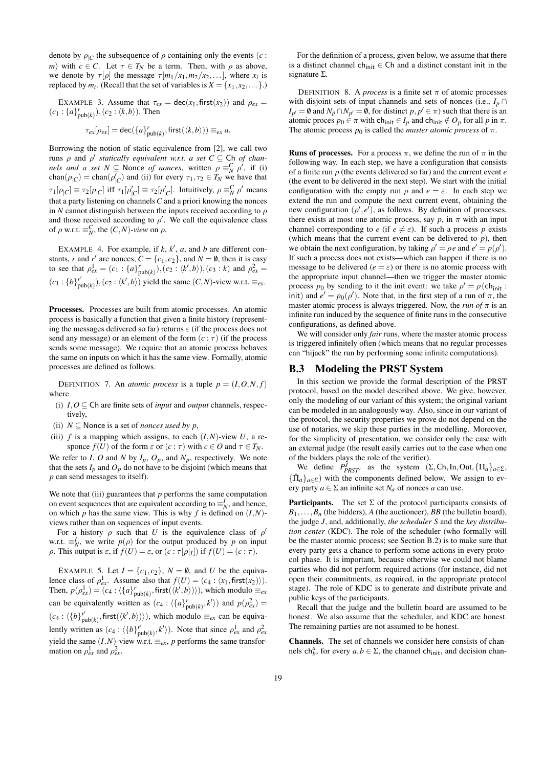denote by  $\rho_{|C}$  the subsequence of  $\rho$  containing only the events (*c* : *m*) with  $c \in C$ . Let  $\tau \in T_N$  be a term. Then, with  $\rho$  as above, we denote by  $\tau[\rho]$  the message  $\tau[m_1/x_1,m_2/x_2,...]$ , where  $x_i$  is replaced by  $m_i$ . (Recall that the set of variables is  $X = \{x_1, x_2, \dots\}$ .)

EXAMPLE 3. Assume that  $\tau_{ex} = \text{dec}(x_1, \text{first}(x_2))$  and  $\rho_{ex} =$  $(c_1: \{a\}_{\text{pub}(k)}^r), (c_2: \langle k, b \rangle)$ . Then

$$
\tau_{ex}[\rho_{ex}] = \text{dec}(\{a\}_{\text{pub}(k)}^r, \text{first}(\langle k, b \rangle)) \equiv_{ex} a.
$$

Borrowing the notion of static equivalence from [2], we call two  $\alpha$  and  $\rho'$  *statically equivalent w.r.t. a set C*  $\subseteq$  Ch *of channels and a set*  $N \subseteq$  Nonce *of nonces*, written  $\rho \equiv_N^C \rho^j$ , if (i) chan( $\rho_{|C}$ ) = chan( $\rho'_{|C}$ ) and (ii) for every  $\tau_1, \tau_2 \in T_N$  we have that  $\tau_1[\rho_{|C}] \equiv \tau_2[\rho_{|C}]$  iff  $\tau_1[\rho'_{|C}] \equiv \tau_2[\rho'_{|C}]$ . Intuitively,  $\rho \equiv_N^C \rho'$  means that a party listening on channels*C* and a priori knowing the nonces in *N* cannot distinguish between the inputs received according to  $\rho$ and those received according to  $\rho'$ . We call the equivalence class of  $\rho$  w.r.t.  $\equiv_N^C$ , the  $(C, N)$ -view on  $\rho$ .

EXAMPLE 4. For example, if  $k$ ,  $k'$ ,  $a$ , and  $b$  are different constants, *r* and *r'* are nonces,  $C = \{c_1, c_2\}$ , and  $N = \emptyset$ , then it is easy to see that  $\rho_{ex}^1 = (c_1 : \{a\}_{\text{pub}(k)}^r), (c_2 : \langle k', b \rangle), (c_3 : k)$  and  $\rho_{ex}^2 =$  $(c_1: \{b\}_{\text{pub}(k)}^{r'}), (c_2: \langle k', b \rangle)$  yield the same  $(C, N)$ -view w.r.t.  $\equiv_{ex}$ .

Processes. Processes are built from atomic processes. An atomic process is basically a function that given a finite history (representing the messages delivered so far) returns  $\varepsilon$  (if the process does not send any message) or an element of the form  $(c : \tau)$  (if the process sends some message). We require that an atomic process behaves the same on inputs on which it has the same view. Formally, atomic processes are defined as follows.

DEFINITION 7. An *atomic process* is a tuple  $p = (I, O, N, f)$ where

- (i)  $I, O \subseteq \mathbb{C}$  h are finite sets of *input* and *output* channels, respectively,
- (ii)  $N \subset$  Nonce is a set of *nonces* used by p,
- (iii)  $f$  is a mapping which assigns, to each  $(I, N)$ -view  $U$ , a responce  $f(U)$  of the form  $\varepsilon$  or  $(c : \tau)$  with  $c \in O$  and  $\tau \in T_N$ .

We refer to *I*, *O* and *N* by  $I_p$ ,  $O_p$ , and  $N_p$ , respectively. We note that the sets  $I_p$  and  $O_p$  do not have to be disjoint (which means that *p* can send messages to itself).

We note that (iii) guarantees that  $p$  performs the same computation on event sequences that are equivalent according to  $\equiv_N^I$ , and hence, on which *p* has the same view. This is why *f* is defined on  $(I, N)$ views rather than on sequences of input events.

For a history  $\rho$  such that *U* is the equivalence class of  $\rho'$ w.r.t.  $\equiv_N^I$ , we write  $p(\rho)$  for the output produced by *p* on input  $\rho$ . This output is  $\varepsilon$ , if  $f(U) = \varepsilon$ , or  $(c : \tau[\rho|_I])$  if  $f(U) = (c : \tau)$ .

EXAMPLE 5. Let  $I = \{c_1, c_2\}$ ,  $N = \emptyset$ , and *U* be the equivalence class of  $\rho_{ex}^1$ . Assume also that  $f(U) = (c_4 : \langle x_1, \text{first}(x_2) \rangle)$ . Then,  $p(\rho_{ex}^1) = (c_4 : \langle \{a\}_{\text{pub}(k)}^r, \text{first}(\langle k', b \rangle) \rangle)$ , which modulo  $\equiv_{ex}$ can be equivalently written as  $(c_4: \langle \{a\}_{\text{pub}(k)}^r, k' \rangle)$  and  $p(\rho_{ex}^2)$  =  $(c_4: \langle \{b\}_{\text{pub}(k)}^{\prime}, \text{first}(\langle k', b \rangle) \rangle)$ , which modulo  $\equiv_{ex}$  can be equivalently written as  $(c_4: \langle \{b\}_{\text{pub}(k)}^{\prime}, k' \rangle)$ . Note that since  $\rho_{ex}^1$  and  $\rho_{ex}^2$ yield the same  $(I, N)$ -view w.r.t.  $\equiv_{ex}$ , *p* performs the same transformation on  $\rho_{ex}^1$  and  $\rho_{ex}^2$ .

For the definition of a process, given below, we assume that there is a distinct channel ch<sub>init</sub>  $\in$  Ch and a distinct constant init in the signature Σ.

DEFINITION 8. A *process* is a finite set  $\pi$  of atomic processes with disjoint sets of input channels and sets of nonces (i.e.,  $I_p \cap$  $I_{p'} = \emptyset$  and  $N_p \cap N_{p'} = \emptyset$ , for distinct  $p, p' \in \pi$ ) such that there is an atomic proces  $p_0 \in \pi$  with ch<sub>init</sub> ∈  $I_p$  and ch<sub>init</sub> ∉  $O_p$  for all  $p$  in  $\pi$ . The atomic process  $p_0$  is called the *master atomic process* of  $\pi$ .

**Runs of processes.** For a process  $\pi$ , we define the run of  $\pi$  in the following way. In each step, we have a configuration that consists of a finite run ρ (the events delivered so far) and the current event *e* (the event to be delivered in the next step). We start with the initial configuration with the empty run  $\rho$  and  $e = \varepsilon$ . In each step we extend the run and compute the next current event, obtaining the new configuration  $(\rho', e')$ , as follows. By definition of processes, there exists at most one atomic process, say  $p$ , in  $\pi$  with an input channel corresponding to *e* (if  $e \neq \varepsilon$ ). If such a process *p* exists (which means that the current event can be delivered to  $p$ ), then we obtain the next configuration, by taking  $\rho' = \rho e$  and  $e' = p(\rho')$ . If such a process does not exists—which can happen if there is no message to be delivered ( $e = \varepsilon$ ) or there is no atomic process with the appropriate input channel—then we trigger the master atomic process  $p_0$  by sending to it the init event: we take  $\rho' = \rho(\text{ch}_{\text{init}})$ : init) and  $e' = p_0(\rho')$ . Note that, in the first step of a run of  $\pi$ , the master atomic process is always triggered. Now, the *run of*  $\pi$  is an infinite run induced by the sequence of finite runs in the consecutive configurations, as defined above.

We will consider only *fair* runs, where the master atomic process is triggered infinitely often (which means that no regular processes can "hijack" the run by performing some infinite computations).

#### B.3 Modeling the PRST System

In this section we provide the formal description of the PRST protocol, based on the model described above. We give, however, only the modeling of our variant of this system; the original variant can be modeled in an analogously way. Also, since in our variant of the protocol, the security properties we prove do not depend on the use of notaries, we skip these parties in the modelling. Moreover, for the simplicity of presentation, we consider only the case with an external judge (the result easily carries out to the case when one of the bidders plays the role of the verifier).

We define  $P_{PRST}^j$  as the system  $(\Sigma, \text{Ch}, \text{In}, \text{Out}, {\{\Pi_a\}_{a \in \Sigma},$  ${\{\hat{\Pi}_a\}}_{a\in \Sigma}$ ) with the components defined below. We assign to every party  $a \in \Sigma$  an infinite set  $N_a$  of nonces *a* can use.

**Participants.** The set  $\Sigma$  of the protocol participants consists of  $B_1, \ldots, B_n$  (the bidders), *A* (the auctioneer), *BB* (the bulletin board), the judge *J*, and, additionally, *the scheduler S* and the *key distribution center* (KDC). The role of the scheduler (who formally will be the master atomic process; see Section B.2) is to make sure that every party gets a chance to perform some actions in every protocol phase. It is important, because otherwise we could not blame parties who did not perform required actions (for instance, did not open their commitments, as required, in the appropriate protocol stage). The role of KDC is to generate and distribute private and public keys of the participants.

Recall that the judge and the bulletin board are assumed to be honest. We also assume that the scheduler, and KDC are honest. The remaining parties are not assumed to be honest.

Channels. The set of channels we consider here consists of channels ch<sup>a</sup><sub>*b*</sub>, for every  $a, b \in \Sigma$ , the channel ch<sub>init</sub>, and decision chan-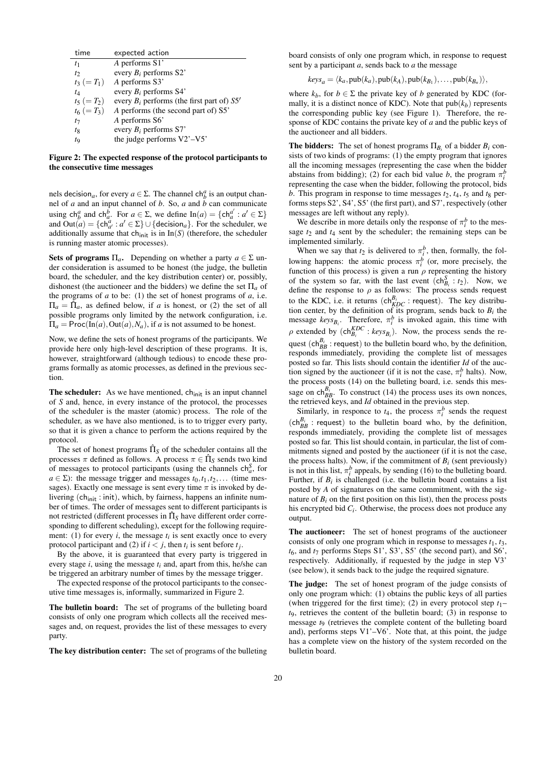| time          | expected action                                |
|---------------|------------------------------------------------|
| $t_1$         | A performs S1'                                 |
| $t_{2}$       | every $B_i$ performs S2'                       |
| $t_3 (= T_1)$ | A performs S3'                                 |
| tд            | every $B_i$ performs S4'                       |
| $t_5 (= T_2)$ | every $B_i$ performs (the first part of) $S5'$ |
| $t_6 (= T_3)$ | A performs (the second part of) S5'            |
| t7            | A performs S6'                                 |
| $t_8$         | every $B_i$ performs S7'                       |
| tq            | the judge performs V2'-V5'                     |
|               |                                                |

Figure 2: The expected response of the protocol participants to the consecutive time messages

nels decision<sub>a</sub>, for every  $a \in \Sigma$ . The channel ch<sub>*b*</sub><sup>*a*</sup> is an output channel of *a* and an input channel of *b*. So, *a* and *b* can communicate using  $ch_b^a$  and  $ch_a^b$ . For  $a \in \Sigma$ , we define  $In(a) = \{ch_a^{a'} : a' \in \Sigma\}$ and  $Out(a) = \{ch_{a'}^a : a' \in \Sigma\} \cup \{decision_a\}$ . For the scheduler, we additionally assume that  $\text{ch}_{\text{init}}$  is in  $\text{In}(S)$  (therefore, the scheduler is running master atomic processes).

**Sets of programs**  $\Pi_a$ . Depending on whether a party  $a \in \Sigma$  under consideration is assumed to be honest (the judge, the bulletin board, the scheduler, and the key distribution center) or, possibly, dishonest (the auctioneer and the bidders) we define the set  $\Pi_a$  of the programs of  $a$  to be: (1) the set of honest programs of  $a$ , i.e.  $\Pi_a = \hat{\Pi}_a$ , as defined below, if *a* is honest, or (2) the set of all possible programs only limited by the network configuration, i.e.  $\Pi_a = \text{Proc}(\text{In}(a), \text{Out}(a), N_a)$ , if *a* is not assumed to be honest.

Now, we define the sets of honest programs of the participants. We provide here only high-level description of these programs. It is, however, straightforward (although tedious) to encode these programs formally as atomic processes, as defined in the previous section.

The scheduler: As we have mentioned, ch<sub>init</sub> is an input channel of *S* and, hence, in every instance of the protocol, the processes of the scheduler is the master (atomic) process. The role of the scheduler, as we have also mentioned, is to to trigger every party, so that it is given a chance to perform the actions required by the protocol.

The set of honest programs  $\hat{\Pi}_S$  of the scheduler contains all the processes  $\pi$  defined as follows. A process  $\pi \in \hat{\Pi}_S$  sends two kind of messages to protocol participants (using the channels  $\mathsf{ch}_a^S$ , for  $a \in \Sigma$ ): the message trigger and messages  $t_0, t_1, t_2, \ldots$  (time messages). Exactly one message is sent every time  $\pi$  is invoked by delivering (ch<sub>init</sub>: init), which, by fairness, happens an infinite number of times. The order of messages sent to different participants is not restricted (different processes in  $\hat{\Pi}_S$  have different order corresponding to different scheduling), except for the following requirement: (1) for every  $i$ , the message  $t_i$  is sent exactly once to every protocol participant and (2) if  $i < j$ , then  $t_i$  is sent before  $t_j$ .

By the above, it is guaranteed that every party is triggered in every stage *i*, using the message *ti* and, apart from this, he/she can be triggered an arbitrary number of times by the message trigger.

The expected response of the protocol participants to the consecutive time messages is, informally, summarized in Figure 2.

The bulletin board: The set of programs of the bulleting board consists of only one program which collects all the received messages and, on request, provides the list of these messages to every party.

The key distribution center: The set of programs of the bulleting

board consists of only one program which, in response to request sent by a participant *a*, sends back to *a* the message

$$
keys_a = \langle k_a, \text{pub}(k_a), \text{pub}(k_A), \text{pub}(k_{B_1}), \dots, \text{pub}(k_{B_n}) \rangle,
$$

where  $k_b$ , for  $b \in \Sigma$  the private key of *b* generated by KDC (formally, it is a distinct nonce of KDC). Note that  $\text{pub}(k_b)$  represents the corresponding public key (see Figure 1). Therefore, the response of KDC contains the private key of *a* and the public keys of the auctioneer and all bidders.

**The bidders:** The set of honest programs  $\Pi_{B_i}$  of a bidder  $B_i$  consists of two kinds of programs: (1) the empty program that ignores all the incoming messages (representing the case when the bidder abstains from bidding); (2) for each bid value *b*, the program  $\pi_i^b$ representing the case when the bidder, following the protocol, bids *b*. This program in response to time messages  $t_2$ ,  $t_4$ ,  $t_5$  and  $t_8$  performs steps S2', S4', S5' (the first part), and S7', respectively (other messages are left without any reply).

We describe in more details only the response of  $\pi_i^b$  to the message  $t_2$  and  $t_4$  sent by the scheduler; the remaining steps can be implemented similarly.

When we say that  $t_2$  is delivered to  $\pi_i^b$ , then, formally, the following happens: the atomic process  $\pi_i^b$  (or, more precisely, the function of this process) is given a run  $\rho$  representing the history of the system so far, with the last event  $(ch_{B_i}^S : t_2)$ . Now, we define the response to  $\rho$  as follows: The process sends request to the KDC, i.e. it returns  $(ch_{KDC}^{B_i} : \text{request})$ . The key distribution center, by the definition of its program, sends back to  $B_i$  the message  $keys_{B_i}$ . Therefore,  $\pi_i^b$  is invoked again, this time with  $\rho$  extended by  $(ch_{B_i}^{KDC} : keys_{B_i})$ . Now, the process sends the request  $(ch_{BB}^{B_i} : \text{request})$  to the bulletin board who, by the definition, responds immediately, providing the complete list of messages posted so far. This lists should contain the identifier *Id* of the auction signed by the auctioneer (if it is not the case,  $\pi_i^b$  halts). Now, the process posts (14) on the bulleting board, i.e. sends this message on ch $_{BB}^{B_i}$ . To construct (14) the process uses its own nonces, the retrieved keys, and *Id* obtained in the previous step.

Similarly, in responce to  $t_4$ , the process  $\pi_i^b$  sends the request  $(ch_{BB}^{B_i} : request)$  to the bulletin board who, by the definition, responds immediately, providing the complete list of messages posted so far. This list should contain, in particular, the list of commitments signed and posted by the auctioneer (if it is not the case, the process halts). Now, if the commitment of  $B_i$  (sent previously) is not in this list,  $\pi_i^b$  appeals, by sending (16) to the bulleting board. Further, if  $B_i$  is challenged (i.e. the bulletin board contains a list posted by *A* of signatures on the same commitment, with the signature of  $B_i$  on the first position on this list), then the process posts his encrypted bid *Ci* . Otherwise, the process does not produce any output.

The auctioneer: The set of honest programs of the auctioneer consists of only one program which in response to messages  $t_1, t_3$ , *t*6, and *t*<sup>7</sup> performs Steps S1', S3', S5' (the second part), and S6', respectively. Additionally, if requested by the judge in step V3' (see below), it sends back to the judge the required signature.

The judge: The set of honest program of the judge consists of only one program which: (1) obtains the public keys of all parties (when triggered for the first time); (2) in every protocol step  $t_1$ – *t*9, retrieves the content of the bulletin board; (3) in response to message *t*<sup>9</sup> (retrieves the complete content of the bulleting board and), performs steps V1'–V6'. Note that, at this point, the judge has a complete view on the history of the system recorded on the bulletin board.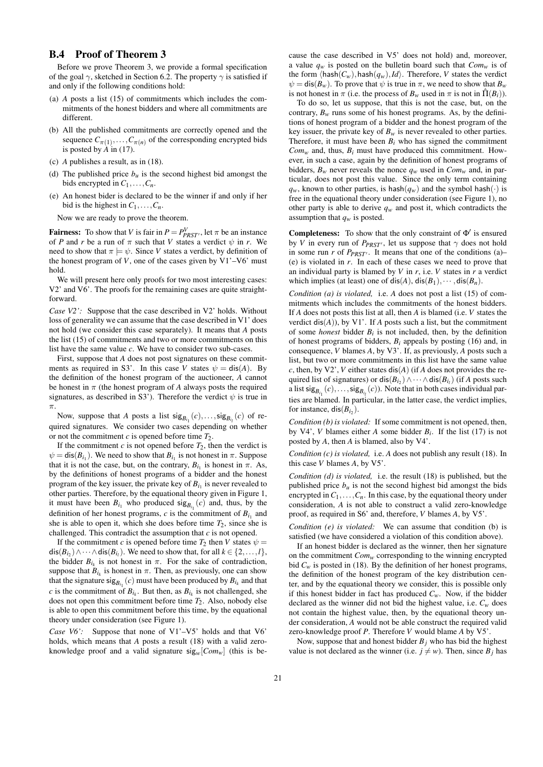# B.4 Proof of Theorem 3

Before we prove Theorem 3, we provide a formal specification of the goal  $\gamma$ , sketched in Section 6.2. The property  $\gamma$  is satisfied if and only if the following conditions hold:

- (a) *A* posts a list (15) of commitments which includes the commitments of the honest bidders and where all commitments are different.
- (b) All the published commitments are correctly opened and the sequence  $C_{\pi(1)}, \ldots, C_{\pi(n)}$  of the corresponding encrypted bids is posted by  $\stackrel{\wedge}{A}$  in (17).
- (c) *A* publishes a result, as in (18).
- (d) The published price  $b<sub>u</sub>$  is the second highest bid amongst the bids encrypted in  $C_1, \ldots, C_n$ .
- (e) An honest bider is declared to be the winner if and only if her bid is the highest in  $C_1, \ldots, C_n$ .

Now we are ready to prove the theorem.

**Fairness:** To show that *V* is fair in  $P = P_{PRST}^V$ , let  $\pi$  be an instance of *P* and *r* be a run of  $\pi$  such that *V* states a verdict  $\psi$  in *r*. We need to show that  $\pi \models \psi$ . Since *V* states a verdict, by definition of the honest program of  $V$ , one of the cases given by  $V1'$ – $V6'$  must hold.

We will present here only proofs for two most interesting cases: V2' and V6'. The proofs for the remaining cases are quite straightforward.

*Case V2':* Suppose that the case described in V2' holds. Without loss of generality we can assume that the case described in V1' does not hold (we consider this case separately). It means that *A* posts the list (15) of commitments and two or more commitments on this list have the same value *c*. We have to consider two sub-cases.

First, suppose that *A* does not post signatures on these commitments as required in S3'. In this case *V* states  $\psi = \text{dis}(A)$ . By the definition of the honest program of the auctioneer, *A* cannot be honest in  $\pi$  (the honest program of *A* always posts the required signatures, as described in S3'). Therefore the verdict  $\psi$  is true in  $\pi$ 

Now, suppose that *A* posts a list  $\text{sig}_{B_{i_1}}(c),...,\text{sig}_{B_{i_l}}(c)$  of required signatures. We consider two cases depending on whether or not the commitment *c* is opened before time *T*2.

If the commitment  $c$  is not opened before  $T_2$ , then the verdict is  $\psi = \text{dis}(B_{i_1})$ . We need to show that  $B_{i_1}$  is not honest in  $\pi$ . Suppose that it is not the case, but, on the contrary,  $B_{i_1}$  is honest in  $\pi$ . As, by the definitions of honest programs of a bidder and the honest program of the key issuer, the private key of  $B_{i_1}$  is never revealed to other parties. Therefore, by the equational theory given in Figure 1, it must have been  $B_{i_1}$  who produced  $sig_{B_{i_1}}(c)$  and, thus, by the definition of her honest programs,  $c$  is the commitment of  $B_{i_1}$  and she is able to open it, which she does before time  $T_2$ , since she is challenged. This contradict the assumption that *c* is not opened.

If the commitment *c* is opened before time  $T_2$  then *V* states  $\psi =$  $\textsf{dis}(B_{i_2}) \wedge \cdots \wedge \textsf{dis}(B_{i_l})$ . We need to show that, for all  $k \in \{2, ..., l\}$ , the bidder  $B_{i_k}$  is not honest in  $\pi$ . For the sake of contradiction, suppose that  $B_{i_k}$  is honest in  $\pi$ . Then, as previously, one can show that the signature  $\text{sig}_{B_{i_1}}(c)$  must have been produced by  $B_{i_k}$  and that *c* is the commitment of  $B_{i_k}$ . But then, as  $B_{i_k}$  is not challenged, she does not open this commitment before time *T*2. Also, nobody else is able to open this commitment before this time, by the equational theory under consideration (see Figure 1).

*Case V6'*: Suppose that none of V1'-V5' holds and that V6' holds, which means that *A* posts a result (18) with a valid zeroknowledge proof and a valid signature  $sig_w[Com_w]$  (this is because the case described in V5' does not hold) and, moreover, a value  $q_w$  is posted on the bulletin board such that  $Com_w$  is of the form  $\langle \text{hash}(C_w), \text{hash}(q_w), Id \rangle$ . Therefore, *V* states the verdict  $\psi = \text{dis}(B_w)$ . To prove that  $\psi$  is true in  $\pi$ , we need to show that  $B_w$ is not honest in  $\pi$  (i.e. the process of  $B_w$  used in  $\pi$  is not in  $\hat{\Pi}(B_i)$ ).

To do so, let us suppose, that this is not the case, but, on the contrary,  $B_w$  runs some of his honest programs. As, by the definitions of honest program of a bidder and the honest program of the key issuer, the private key of  $B_w$  is never revealed to other parties. Therefore, it must have been  $B_i$  who has signed the commitment  $Com_w$  and, thus,  $B_i$  must have produced this commitment. However, in such a case, again by the definition of honest programs of bidders,  $B_w$  never reveals the nonce  $q_w$  used in  $Com_w$  and, in particular, does not post this value. Since the only term containing  $q_w$ , known to other parties, is hash $(q_w)$  and the symbol hash $(\cdot)$  is free in the equational theory under consideration (see Figure 1), no other party is able to derive  $q_w$  and post it, which contradicts the assumption that *qw* is posted.

**Completeness:** To show that the only constraint of  $\Phi'$  is ensured by *V* in every run of  $P_{PRST}$ , let us suppose that  $\gamma$  does not hold in some run  $r$  of  $P_{PRST'}$ . It means that one of the conditions (a)– (e) is violated in *r*. In each of these cases we need to prove that an individual party is blamed by *V* in *r*, i.e. *V* states in *r* a verdict which implies (at least) one of  $dis(A)$ ,  $dis(B_1), \cdots, dis(B_n)$ .

*Condition (a) is violated,* i.e. *A* does not post a list (15) of commitments which includes the commitments of the honest bidders. If *A* does not posts this list at all, then *A* is blamed (i.e. *V* states the verdict dis(*A*)), by V1'. If *A* posts such a list, but the commitment of some *honest* bidder  $B_i$  is not included, then, by the definition of honest programs of bidders,  $B_i$  appeals by posting (16) and, in consequence, *V* blames *A*, by V3'. If, as previously, *A* posts such a list, but two or more commitments in this list have the same value *c*, then, by V2', *V* either states dis(*A*) (if *A* does not provides the required list of signatures) or  $dis(B_{i_2}) \wedge \cdots \wedge dis(B_{i_l})$  (if *A* posts such a list  $\text{sig}_{B_{i_1}}(c), \ldots, \text{sig}_{B_{i_l}}(c)$ ). Note that in both cases individual parties are blamed. In particular, in the latter case, the verdict implies, for instance,  $dis(B_{i_2})$ .

*Condition (b) is violated:* If some commitment is not opened, then, by V4', *V* blames either *A* some bidder  $B_i$ . If the list (17) is not posted by *A*, then *A* is blamed, also by V4'.

*Condition (c) is violated,* i.e. *A* does not publish any result (18). In this case *V* blames *A*, by V5'.

*Condition (d) is violated,* i.e. the result (18) is published, but the published price  $b<sub>u</sub>$  is not the second highest bid amongst the bids encrypted in  $C_1, \ldots, C_n$ . In this case, by the equational theory under consideration, *A* is not able to construct a valid zero-knowledge proof, as required in S6' and, therefore, *V* blames *A*, by V5'.

*Condition (e) is violated:* We can assume that condition (b) is satisfied (we have considered a violation of this condition above).

If an honest bidder is declared as the winner, then her signature on the commitment *Comw* corresponding to the winning encrypted bid  $C_w$  is posted in (18). By the definition of her honest programs, the definition of the honest program of the key distribution center, and by the equational theory we consider, this is possible only if this honest bidder in fact has produced  $C_w$ . Now, if the bidder declared as the winner did not bid the highest value, i.e.  $C_w$  does not contain the highest value, then, by the equational theory under consideration, *A* would not be able construct the required valid zero-knowledge proof *P*. Therefore *V* would blame *A* by V5'.

Now, suppose that and honest bidder  $B_i$  who has bid the highest value is not declared as the winner (i.e.  $j \neq w$ ). Then, since  $B_j$  has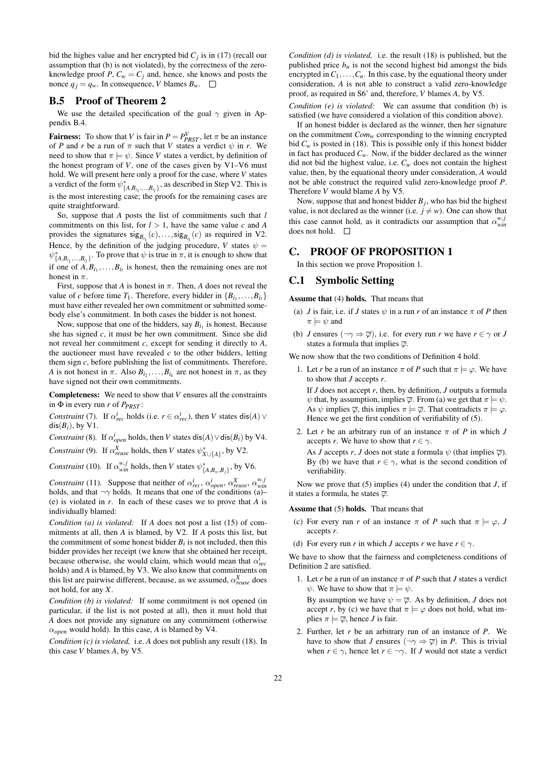bid the highes value and her encrypted bid  $C_j$  is in (17) (recall our assumption that (b) is not violated), by the correctness of the zeroknowledge proof *P*,  $C_w = C_j$  and, hence, she knows and posts the nonce  $q_i = q_w$ . In consequence, *V* blames  $B_w$ .  $\Box$ 

### B.5 Proof of Theorem 2

We use the detailed specification of the goal  $\gamma$  given in Appendix B.4.

**Fairness:** To show that *V* is fair in  $P = P_{PRST}^V$ , let  $\pi$  be an instance of *P* and *r* be a run of  $\pi$  such that *V* states a verdict  $\psi$  in *r*. We need to show that  $\pi \models \psi$ . Since *V* states a verdict, by definition of the honest program of  $V$ , one of the cases given by  $V1-V6$  must hold. We will present here only a proof for the case, where *V* states a verdict of the form  $\psi^*_{\{A, B_{i_1},...,B_{i_l}\}}$ , as described in Step V2. This is is the most interesting case; the proofs for the remaining cases are quite straightforward.

So, suppose that *A* posts the list of commitments such that *l* commitments on this list, for  $l > 1$ , have the same value  $c$  and  $A$ provides the signatures  $\text{sig}_{B_{i_1}}(c),...,\text{sig}_{B_{i_l}}(c)$  as required in V2. Hence, by the definition of the judging procedure, *V* states  $\psi$  =  $\psi^*_{\{A, B_{i_1}, ..., B_{i_l}\}}$ . To prove that  $\psi$  is true in  $\pi$ , it is enough to show that if one of  $A, B_{i_1},...,B_{i_l}$  is honest, then the remaining ones are not honest in  $\pi$ .

First, suppose that *A* is honest in  $\pi$ . Then, *A* does not reveal the value of *c* before time  $T_1$ . Therefore, every bidder in  $\{B_{i_1}, \ldots, B_{i_l}\}\$ must have either revealed her own commitment or submitted somebody else's commitment. In both cases the bidder is not honest.

Now, suppose that one of the bidders, say  $B_{i_1}$  is honest. Because she has signed *c*, it must be her own commitment. Since she did not reveal her commitment *c*, except for sending it directly to *A*, the auctioneer must have revealed  $c$  to the other bidders, letting them sign *c*, before publishing the list of commitments. Therefore, *A* is not honest in  $\pi$ . Also  $B_{i_2}, \ldots, B_{i_k}$  are not honest in  $\pi$ , as they have signed not their own commitments.

Completeness: We need to show that *V* ensures all the constraints in Φ in every run *r* of *PPRST* :

*Constraint* (7). If  $\alpha_{rec}^i$  holds (i.e.  $r \in \alpha_{rec}^i$ ), then *V* states dis(*A*)  $\vee$  $dis(B_i)$ , by V1.

*Constraint* (8). If  $\alpha_{open}^i$  holds, then *V* states dis(*A*)  $\lor$  dis(*B*<sub>*i*</sub>) by V4.

*Constraint* (9). If  $\alpha_{reuse}^X$  holds, then *V* states  $\psi_{X \cup \{A\}}^*$ , by V2.

*Constraint* (10). If  $\alpha_{win}^{w,j}$  holds, then *V* states  $\psi_{\{A,B_w,B_j\}}^*$ , by V6.

*Constraint* (11). Suppose that neither of  $\alpha_{rec}^i$ ,  $\alpha_{open}^i$ ,  $\alpha_{reuse}^X$ ,  $\alpha_{wim}^{w,j}$ holds, and that  $\neg \gamma$  holds. It means that one of the conditions (a)– (e) is violated in *r*. In each of these cases we to prove that *A* is individually blamed:

*Condition (a) is violated:* If *A* does not post a list (15) of commitments at all, then *A* is blamed, by V2. If *A* posts this list, but the commitment of some honest bidder  $B_i$  is not included, then this bidder provides her receipt (we know that she obtained her receipt, because otherwise, she would claim, which would mean that  $\alpha_{rec}^i$ holds) and *A* is blamed, by V3. We also know that commitments on this list are pairwise different, because, as we assumed,  $\alpha_{reuse}^X$  does not hold, for any *X*.

*Condition (b) is violated:* If some commitment is not opened (in particular, if the list is not posted at all), then it must hold that *A* does not provide any signature on any commitment (otherwise α*open* would hold). In this case, *A* is blamed by V4.

*Condition (c) is violated,* i.e. *A* does not publish any result (18). In this case *V* blames *A*, by V5.

*Condition (d) is violated,* i.e. the result (18) is published, but the published price  $b<sub>u</sub>$  is not the second highest bid amongst the bids encrypted in  $C_1, \ldots, C_n$ . In this case, by the equational theory under consideration, *A* is not able to construct a valid zero-knowledge proof, as required in S6' and, therefore, *V* blames *A*, by V5.

*Condition (e) is violated:* We can assume that condition (b) is satisfied (we have considered a violation of this condition above).

If an honest bidder is declared as the winner, then her signature on the commitment *Comw* corresponding to the winning encrypted bid  $C_w$  is posted in (18). This is possible only if this honest bidder in fact has produced  $C_w$ . Now, if the bidder declared as the winner did not bid the highest value, i.e.  $C_w$  does not contain the highest value, then, by the equational theory under consideration, *A* would not be able construct the required valid zero-knowledge proof *P*. Therefore *V* would blame *A* by V5.

Now, suppose that and honest bidder *Bj* , who has bid the highest value, is not declared as the winner (i.e.  $j \neq w$ ). One can show that this case cannot hold, as it contradicts our assumption that  $\alpha_{win}^{w,j}$ does not hold.  $\square$ 

# C. PROOF OF PROPOSITION 1

In this section we prove Proposition 1.

# C.1 Symbolic Setting

#### Assume that (4) holds. That means that

- (a) *J* is fair, i.e. if *J* states  $\psi$  in a run *r* of an instance  $\pi$  of *P* then  $\pi \models \psi$  and
- (b) *J* ensures  $(\neg \gamma \Rightarrow \overline{\varphi})$ , i.e. for every run *r* we have  $r \in \gamma$  or *J* states a formula that implies  $\overline{\varphi}$ .

We now show that the two conditions of Definition 4 hold.

1. Let *r* be a run of an instance  $\pi$  of *P* such that  $\pi \models \varphi$ . We have to show that *J* accepts *r*.

If *J* does not accept *r*, then, by definition, *J* outputs a formula  $\psi$  that, by assumption, implies  $\overline{\varphi}$ . From (a) we get that  $\pi \models \psi$ . As  $\psi$  implies  $\overline{\varphi}$ , this implies  $\pi \models \overline{\varphi}$ . That contradicts  $\pi \models \varphi$ . Hence we get the first condition of verifiability of (5).

2. Let *r* be an arbitrary run of an instance  $\pi$  of *P* in which *J* accepts *r*. We have to show that  $r \in \gamma$ . As *J* accepts *r*, *J* does not state a formula  $\psi$  (that implies  $\overline{\varphi}$ ). By (b) we have that  $r \in \gamma$ , what is the second condition of verifiability.

Now we prove that (5) implies (4) under the condition that *J*, if it states a formula, he states  $\overline{\varphi}$ .

#### Assume that (5) holds. That means that

- (c) For every run *r* of an instance  $\pi$  of *P* such that  $\pi \models \varphi$ , *J* accepts *r*.
- (d) For every run *r* in which *J* accepts *r* we have  $r \in \gamma$ .

We have to show that the fairness and completeness conditions of Definition 2 are satisfied.

- 1. Let *r* be a run of an instance  $\pi$  of *P* such that *J* states a verdict  $\psi$ . We have to show that  $\pi \models \psi$ . By assumption we have  $\psi = \overline{\varphi}$ . As by definition, *J* does not accept *r*, by (c) we have that  $\pi \models \varphi$  does not hold, what implies  $\pi \models \overline{\varphi}$ , hence *J* is fair.
- 2. Further, let *r* be an arbitrary run of an instance of *P*. We have to show that *J* ensures ( $\neg \gamma \Rightarrow \overline{\varphi}$ ) in *P*. This is trivial when  $r \in \gamma$ , hence let  $r \in \neg \gamma$ . If *J* would not state a verdict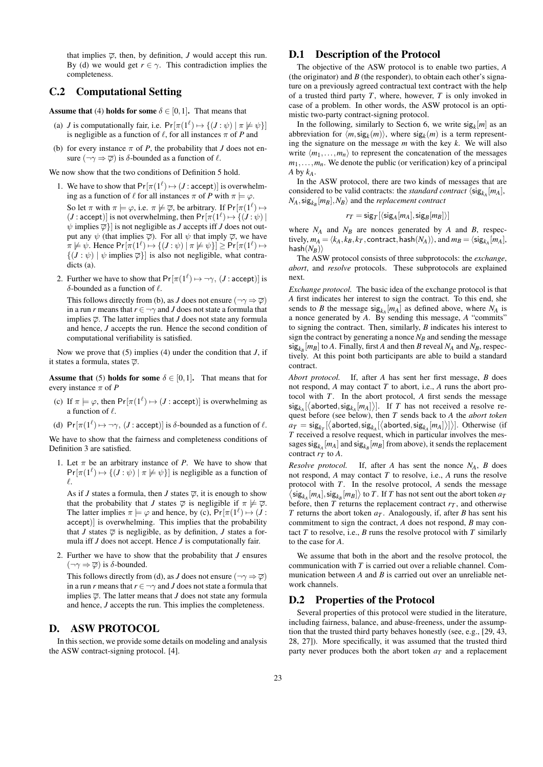that implies  $\overline{\varphi}$ , then, by definition, *J* would accept this run. By (d) we would get  $r \in \gamma$ . This contradiction implies the completeness.

#### C.2 Computational Setting

**Assume that** (4) **holds for some**  $\delta \in [0,1]$ . That means that

- (a) *J* is computationally fair, i.e.  $Pr[\pi(1^{\ell}) \mapsto \{(J : \psi) | \pi \not\models \psi\}]$ is negligible as a function of  $\ell$ , for all instances  $\pi$  of *P* and
- (b) for every instance  $\pi$  of *P*, the probability that *J* does not ensure  $(\neg \gamma \Rightarrow \overline{\varphi})$  is  $\delta$ -bounded as a function of  $\ell$ .

We now show that the two conditions of Definition 5 hold.

- 1. We have to show that  $Pr[\pi(1^{\ell}) \mapsto (J : \text{accept})]$  is overwhelming as a function of  $\ell$  for all instances  $\pi$  of *P* with  $\pi \models \varphi$ . So let  $\pi$  with  $\pi \models \varphi$ , i.e.  $\pi \not\models \overline{\varphi}$ , be arbitrary. If  $Pr[\pi(1^{\ell}) \mapsto$  $(J : accept)$  is not overwhelming, then  $Pr[\pi(1^{\ell}) \mapsto \{(J : \psi) \mid$  $\psi$  implies  $\overline{\varphi}$ } is not negligible as *J* accepts iff *J* does not output any  $\psi$  (that implies  $\overline{\varphi}$ ). For all  $\psi$  that imply  $\overline{\varphi}$ , we have  $\pi \not\models \psi$ . Hence  $Pr[\pi(1^{\ell}) \mapsto \{(J : \psi) \mid \pi \not\models \psi\}] \geq Pr[\pi(1^{\ell}) \mapsto$  $\{(J : \psi) \mid \psi \text{ implies } \overline{\varphi}\}\$ is also not negligible, what contradicts (a).
- 2. Further we have to show that  $Pr[\pi(1^{\ell}) \mapsto \neg \gamma, (J : \text{accept})]$  is δ-bounded as a function of  $\ell$ .

This follows directly from (b), as *J* does not ensure ( $\neg \gamma \Rightarrow \overline{\varphi}$ ) in a run *r* means that  $r \in \neg \gamma$  and *J* does not state a formula that implies  $\overline{\varphi}$ . The latter implies that *J* does not state any formula and hence, *J* accepts the run. Hence the second condition of computational verifiability is satisfied.

Now we prove that (5) implies (4) under the condition that *J*, if it states a formula, states  $\overline{\varphi}$ .

Assume that (5) holds for some  $\delta \in [0,1]$ . That means that for every instance  $\pi$  of *P* 

- (c) If  $\pi \models \varphi$ , then  $Pr[\pi(1^{\ell}) \mapsto (J : \text{accept})]$  is overwhelming as a function of  $\ell$ .
- (d)  $Pr[\pi(1^{\ell}) \mapsto \neg \gamma, (J : accept)]$  is  $\delta$ -bounded as a function of  $\ell$ .

We have to show that the fairness and completeness conditions of Definition 3 are satisfied.

1. Let  $\pi$  be an arbitrary instance of *P*. We have to show that  $Pr[\pi(1^{\ell}) \mapsto \{(J : \psi) \mid \pi \not\models \psi\}]$  is negligible as a function of  $\ell$ .

As if *J* states a formula, then *J* states  $\overline{\varphi}$ , it is enough to show that the probability that *J* states  $\overline{\varphi}$  is negligible if  $\pi \not\models \overline{\varphi}$ . The latter implies  $\pi \models \varphi$  and hence, by (c),  $Pr[\pi(1^{\ell}) \mapsto (J :$ accept)] is overwhelming. This implies that the probability that *J* states  $\overline{\varphi}$  is negligible, as by definition, *J* states a formula iff *J* does not accept. Hence *J* is computationally fair.

2. Further we have to show that the probability that *J* ensures  $(\neg \gamma \Rightarrow \overline{\varphi})$  is  $\delta$ -bounded.

This follows directly from (d), as *J* does not ensure ( $\neg \gamma \Rightarrow \overline{\varphi}$ ) in a run *r* means that  $r \in \neg \gamma$  and *J* does not state a formula that implies  $\overline{\varphi}$ . The latter means that *J* does not state any formula and hence, *J* accepts the run. This implies the completeness.

#### D. ASW PROTOCOL

In this section, we provide some details on modeling and analysis the ASW contract-signing protocol. [4].

#### D.1 Description of the Protocol

The objective of the ASW protocol is to enable two parties, *A* (the originator) and  $B$  (the responder), to obtain each other's signature on a previously agreed contractual text contract with the help of a trusted third party *T*, where, however, *T* is only invoked in case of a problem. In other words, the ASW protocol is an optimistic two-party contract-signing protocol.

In the following, similarly to Section 6, we write  $sig_k[m]$  as an abbreviation for  $\langle m, \text{sig}_k(m) \rangle$ , where  $\text{sig}_k(m)$  is a term representing the signature on the message *m* with the key *k*. We will also write  $\langle m_1, \ldots, m_n \rangle$  to represent the concatenation of the messages  $m_1, \ldots, m_n$ . We denote the public (or verification) key of a principal *A* by *kA*.

In the ASW protocol, there are two kinds of messages that are considered to be valid contracts: the *standard contract*  $\langle \text{sig}_{k_A}[m_A],$  $N_A$ ,  $\text{sig}_{k_B}[m_B]$ ,  $N_B$ ) and the *replacement contract* 

$$
r_T = \mathsf{sig}_T[\langle \mathsf{sig}_A[m_A], \mathsf{sig}_B[m_B]\rangle]
$$

where  $N_A$  and  $N_B$  are nonces generated by *A* and *B*, respec- $\textrm{tively, } m_A = \langle k_A, k_B, k_T, \textrm{contract}, \textrm{hash}(N_A) \rangle, \textrm{ and } m_B = \langle \textrm{sig}_{k_A}[m_A], \rangle$  $\textsf{hash}(N_B)\rangle$ 

The ASW protocol consists of three subprotocols: the *exchange*, *abort*, and *resolve* protocols. These subprotocols are explained next.

*Exchange protocol.* The basic idea of the exchange protocol is that *A* first indicates her interest to sign the contract. To this end, she sends to *B* the message  $sig_{k_A}[m_A]$  as defined above, where  $N_A$  is a nonce generated by *A*. By sending this message, *A* "commits" to signing the contract. Then, similarly, *B* indicates his interest to sign the contract by generating a nonce  $N_B$  and sending the message  $\sin g_{k_B}[m_B]$  to *A*. Finally, first *A* and then *B* reveal  $N_A$  and  $N_B$ , respectively. At this point both participants are able to build a standard contract.

*Abort protocol.* If, after *A* has sent her first message, *B* does not respond, *A* may contact *T* to abort, i.e., *A* runs the abort protocol with *T*. In the abort protocol, *A* first sends the message  $\langle \text{sigmoid}, \text{sig}_{k_A}[m_A] \rangle$ . If *T* has not received a resolve request before (see below), then *T* sends back to *A* the *abort token*  $a_T = \mathsf{sig}_{k_T}[\left\langle \mathsf{aborted}, \mathsf{sig}_{k_A}[\left\langle \mathsf{aborted}, \mathsf{sig}_{k_A}[m_A] \right\rangle]\right)\right]$ . Otherwise (if *T* received a resolve request, which in particular involves the messages  $\textsf{sig}_{k_A}[m_A]$  and  $\textsf{sig}_{k_B}[m_B]$  from above), it sends the replacement contract  $r_T$  to  $A$ .

*Resolve protocol.* If, after *A* has sent the nonce  $N_A$ , *B* does not respond, *A* may contact *T* to resolve, i.e., *A* runs the resolve protocol with *T*. In the resolve protocol, *A* sends the message  $\langle \text{sig}_{k_A}[m_A], \text{sig}_{k_B}[m_B] \rangle$  to *T*. If *T* has not sent out the abort token  $a_T$ before, then  $T$  returns the replacement contract  $r<sub>T</sub>$ , and otherwise *T* returns the abort token *aT* . Analogously, if, after *B* has sent his commitment to sign the contract, *A* does not respond, *B* may contact  $T$  to resolve, i.e.,  $B$  runs the resolve protocol with  $T$  similarly to the case for *A*.

We assume that both in the abort and the resolve protocol, the communication with *T* is carried out over a reliable channel. Communication between *A* and *B* is carried out over an unreliable network channels.

#### D.2 Properties of the Protocol

Several properties of this protocol were studied in the literature, including fairness, balance, and abuse-freeness, under the assumption that the trusted third party behaves honestly (see, e.g., [29, 43, 28, 27]). More specifically, it was assumed that the trusted third party never produces both the abort token *aT* and a replacement